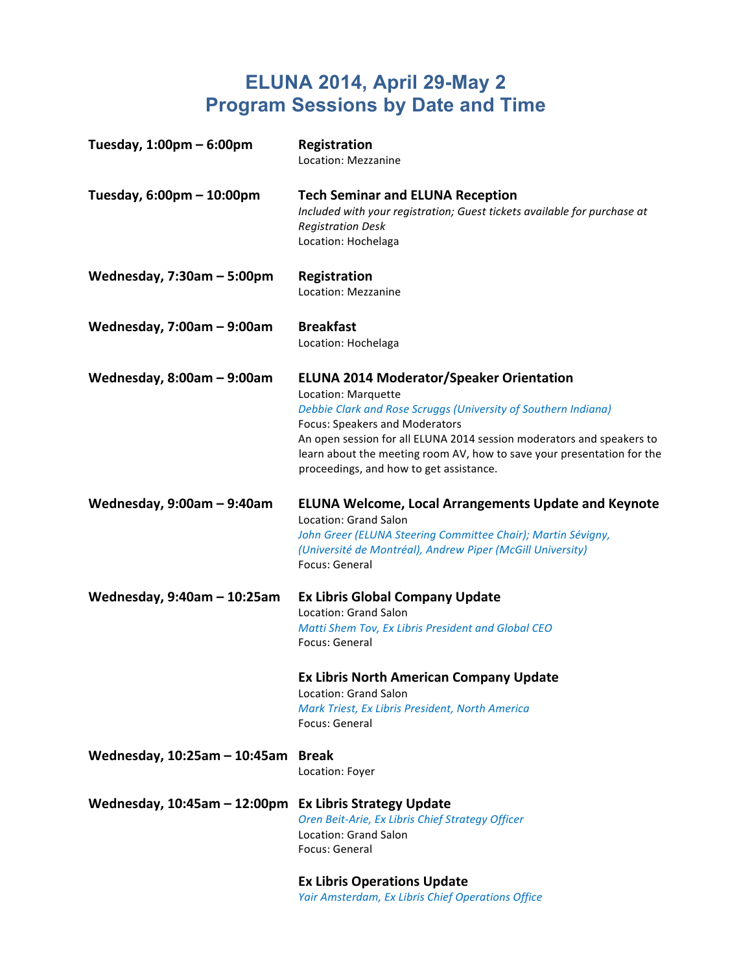# **ELUNA 2014, April 29-May 2 Program Sessions by Date and Time**

| Tuesday, $1:00 \text{pm} - 6:00 \text{pm}$ | <b>Registration</b><br>Location: Mezzanine                                                                                                                                                                                                                                                                                                                               |
|--------------------------------------------|--------------------------------------------------------------------------------------------------------------------------------------------------------------------------------------------------------------------------------------------------------------------------------------------------------------------------------------------------------------------------|
| Tuesday, 6:00pm - 10:00pm                  | <b>Tech Seminar and ELUNA Reception</b><br>Included with your registration; Guest tickets available for purchase at<br><b>Registration Desk</b><br>Location: Hochelaga                                                                                                                                                                                                   |
| Wednesday, $7:30$ am $-5:00$ pm            | <b>Registration</b><br>Location: Mezzanine                                                                                                                                                                                                                                                                                                                               |
| Wednesday, $7:00am - 9:00am$               | <b>Breakfast</b><br>Location: Hochelaga                                                                                                                                                                                                                                                                                                                                  |
| Wednesday, $8:00am - 9:00am$               | <b>ELUNA 2014 Moderator/Speaker Orientation</b><br>Location: Marquette<br>Debbie Clark and Rose Scruggs (University of Southern Indiana)<br>Focus: Speakers and Moderators<br>An open session for all ELUNA 2014 session moderators and speakers to<br>learn about the meeting room AV, how to save your presentation for the<br>proceedings, and how to get assistance. |
| Wednesday, $9:00am - 9:40am$               | <b>ELUNA Welcome, Local Arrangements Update and Keynote</b><br>Location: Grand Salon<br>John Greer (ELUNA Steering Committee Chair); Martin Sévigny,<br>(Université de Montréal), Andrew Piper (McGill University)<br>Focus: General                                                                                                                                     |
| Wednesday, $9:40$ am $-10:25$ am           | <b>Ex Libris Global Company Update</b><br>Location: Grand Salon<br>Matti Shem Tov, Ex Libris President and Global CEO<br>Focus: General<br><b>Ex Libris North American Company Update</b><br>Location: Grand Salon<br>Mark Triest, Ex Libris President, North America<br>Focus: General                                                                                  |
| Wednesday, 10:25am - 10:45am               | <b>Break</b><br>Location: Foyer                                                                                                                                                                                                                                                                                                                                          |
| Wednesday, 10:45am - 12:00pm               | <b>Ex Libris Strategy Update</b><br>Oren Beit-Arie, Ex Libris Chief Strategy Officer<br>Location: Grand Salon<br>Focus: General                                                                                                                                                                                                                                          |
|                                            | <b>Ex Libris Operations Update</b>                                                                                                                                                                                                                                                                                                                                       |

Yair Amsterdam, Ex Libris Chief Operations Office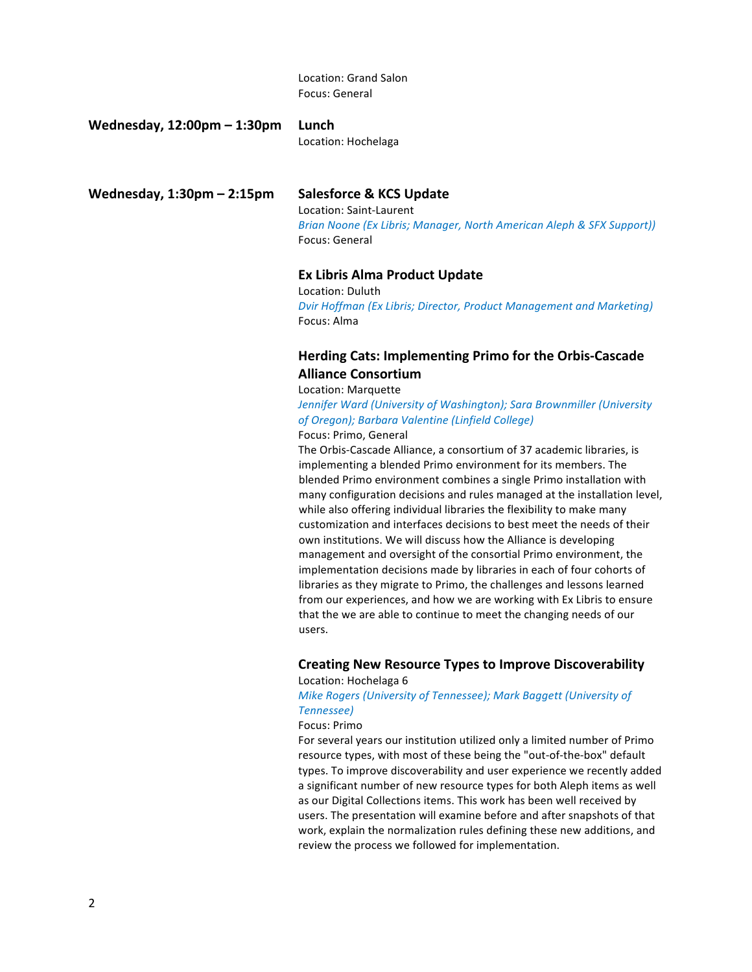Location: Grand Salon Focus: General

**Wednesday, 12:00pm – 1:30pm Lunch**

# Location: Hochelaga

Wednesday, 1:30pm - 2:15pm Salesforce & KCS Update

Location: Saint-Laurent *Brian Noone (Ex Libris; Manager, North American Aleph & SFX Support))* Focus: General

## **Ex Libris Alma Product Update**

Location: Duluth **Dvir Hoffman (Ex Libris; Director, Product Management and Marketing)** Focus: Alma

# **Herding Cats: Implementing Primo for the Orbis-Cascade Alliance Consortium**

## Location: Marquette

*Jennifer Ward (University of Washington); Sara Brownmiller (University of Oregon); Barbara Valentine (Linfield College)*

Focus: Primo, General

The Orbis-Cascade Alliance, a consortium of 37 academic libraries, is implementing a blended Primo environment for its members. The blended Primo environment combines a single Primo installation with many configuration decisions and rules managed at the installation level, while also offering individual libraries the flexibility to make many customization and interfaces decisions to best meet the needs of their own institutions. We will discuss how the Alliance is developing management and oversight of the consortial Primo environment, the implementation decisions made by libraries in each of four cohorts of libraries as they migrate to Primo, the challenges and lessons learned from our experiences, and how we are working with Ex Libris to ensure that the we are able to continue to meet the changing needs of our users.

# **Creating New Resource Types to Improve Discoverability**

Location: Hochelaga 6

# **Mike Rogers (University of Tennessee); Mark Baggett (University of** *Tennessee)*

## Focus: Primo

For several years our institution utilized only a limited number of Primo resource types, with most of these being the "out-of-the-box" default types. To improve discoverability and user experience we recently added a significant number of new resource types for both Aleph items as well as our Digital Collections items. This work has been well received by users. The presentation will examine before and after snapshots of that work, explain the normalization rules defining these new additions, and review the process we followed for implementation.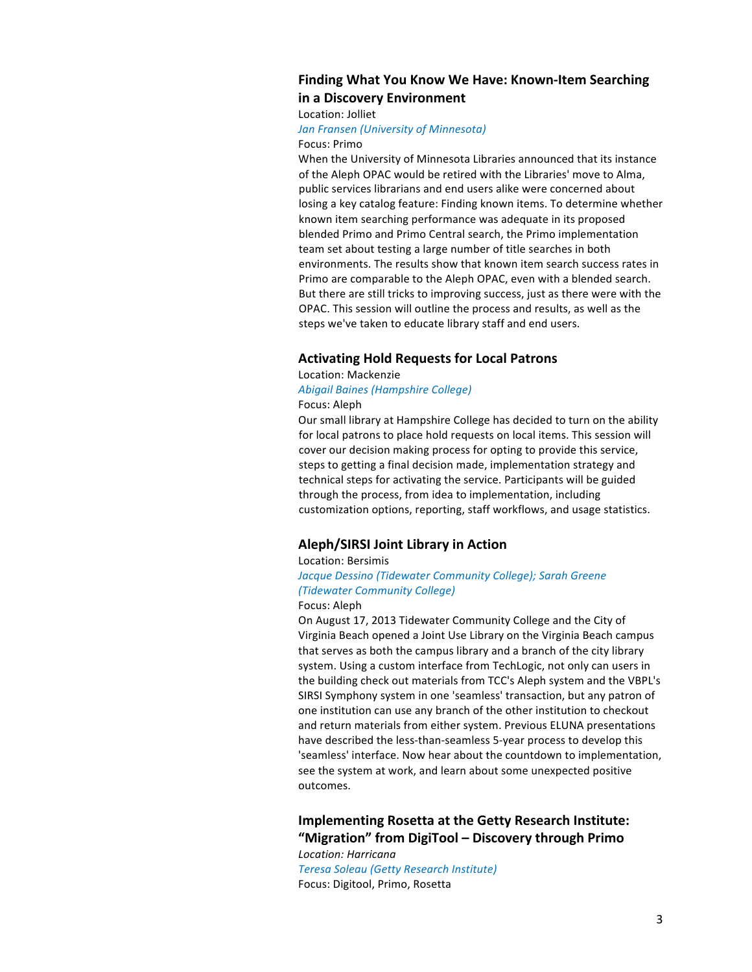# **Finding What You Know We Have: Known-Item Searching in a Discovery Environment**

Location: Jolliet

Focus: Primo

# *Jan Fransen (University of Minnesota)*

When the University of Minnesota Libraries announced that its instance of the Aleph OPAC would be retired with the Libraries' move to Alma, public services librarians and end users alike were concerned about losing a key catalog feature: Finding known items. To determine whether known item searching performance was adequate in its proposed blended Primo and Primo Central search, the Primo implementation team set about testing a large number of title searches in both environments. The results show that known item search success rates in Primo are comparable to the Aleph OPAC, even with a blended search. But there are still tricks to improving success, just as there were with the OPAC. This session will outline the process and results, as well as the steps we've taken to educate library staff and end users.

## **Activating Hold Requests for Local Patrons**

# Location: Mackenzie *Abigail Baines (Hampshire College)*

Focus: Aleph

Our small library at Hampshire College has decided to turn on the ability for local patrons to place hold requests on local items. This session will cover our decision making process for opting to provide this service, steps to getting a final decision made, implementation strategy and technical steps for activating the service. Participants will be guided through the process, from idea to implementation, including customization options, reporting, staff workflows, and usage statistics.

# **Aleph/SIRSI Joint Library in Action**

Location: Bersimis

# Jacque Dessino (Tidewater Community College); Sarah Greene *(Tidewater Community College)*

### Focus: Aleph

On August 17, 2013 Tidewater Community College and the City of Virginia Beach opened a Joint Use Library on the Virginia Beach campus that serves as both the campus library and a branch of the city library system. Using a custom interface from TechLogic, not only can users in the building check out materials from TCC's Aleph system and the VBPL's SIRSI Symphony system in one 'seamless' transaction, but any patron of one institution can use any branch of the other institution to checkout and return materials from either system. Previous ELUNA presentations have described the less-than-seamless 5-year process to develop this 'seamless' interface. Now hear about the countdown to implementation, see the system at work, and learn about some unexpected positive outcomes.

# **Implementing Rosetta at the Getty Research Institute: "Migration" from DigiTool – Discovery through Primo**

*Location: Harricana Teresa Soleau (Getty Research Institute)* Focus: Digitool, Primo, Rosetta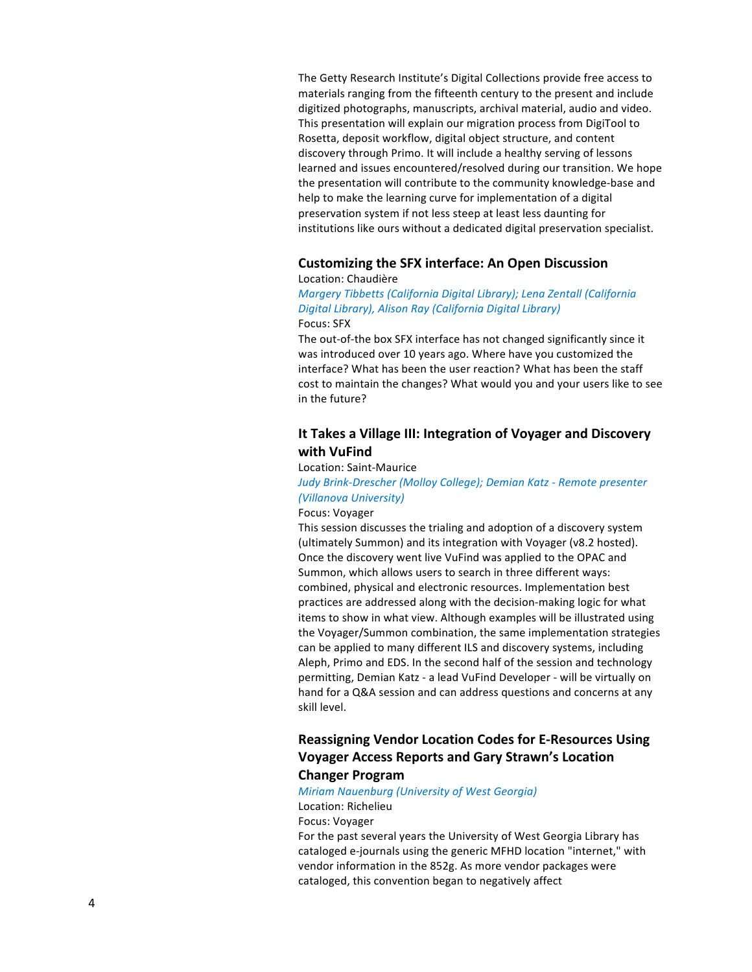The Getty Research Institute's Digital Collections provide free access to materials ranging from the fifteenth century to the present and include digitized photographs, manuscripts, archival material, audio and video. This presentation will explain our migration process from DigiTool to Rosetta, deposit workflow, digital object structure, and content discovery through Primo. It will include a healthy serving of lessons learned and issues encountered/resolved during our transition. We hope the presentation will contribute to the community knowledge-base and help to make the learning curve for implementation of a digital preservation system if not less steep at least less daunting for institutions like ours without a dedicated digital preservation specialist.

## **Customizing the SFX interface: An Open Discussion** Location: Chaudière

# *Margery Tibbetts (California Digital Library); Lena Zentall (California Digital Library), Alison Ray (California Digital Library)* Focus: SFX

The out-of-the box SFX interface has not changed significantly since it was introduced over 10 years ago. Where have you customized the interface? What has been the user reaction? What has been the staff cost to maintain the changes? What would you and your users like to see in the future?

# **It Takes a Village III: Integration of Voyager and Discovery with VuFind**

## Location: Saint-Maurice

# *Judy Brink-Drescher (Molloy College); Demian Katz - Remote presenter (Villanova University)*

## Focus: Voyager

This session discusses the trialing and adoption of a discovery system (ultimately Summon) and its integration with Voyager (v8.2 hosted). Once the discovery went live VuFind was applied to the OPAC and Summon, which allows users to search in three different ways: combined, physical and electronic resources. Implementation best practices are addressed along with the decision-making logic for what items to show in what view. Although examples will be illustrated using the Voyager/Summon combination, the same implementation strategies can be applied to many different ILS and discovery systems, including Aleph, Primo and EDS. In the second half of the session and technology permitting, Demian Katz - a lead VuFind Developer - will be virtually on hand for a Q&A session and can address questions and concerns at any skill level.

# **Reassigning Vendor Location Codes for E-Resources Using Voyager Access Reports and Gary Strawn's Location Changer Program**

## *Miriam Nauenburg (University of West Georgia)* Location: Richelieu

### Focus: Voyager

For the past several years the University of West Georgia Library has cataloged e-journals using the generic MFHD location "internet," with vendor information in the 852g. As more vendor packages were cataloged, this convention began to negatively affect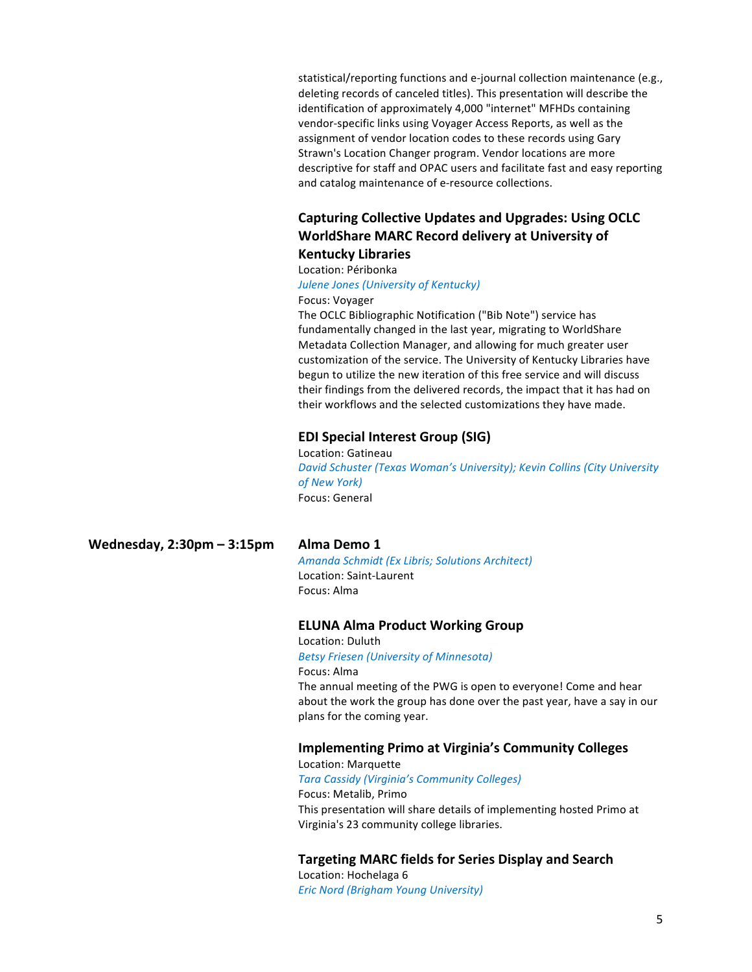statistical/reporting functions and e-journal collection maintenance (e.g., deleting records of canceled titles). This presentation will describe the identification of approximately 4,000 "internet" MFHDs containing vendor-specific links using Voyager Access Reports, as well as the assignment of vendor location codes to these records using Gary Strawn's Location Changer program. Vendor locations are more descriptive for staff and OPAC users and facilitate fast and easy reporting and catalog maintenance of e-resource collections.

# **Capturing Collective Updates and Upgrades: Using OCLC WorldShare MARC Record delivery at University of**

# **Kentucky Libraries** Location: Péribonka

# **Julene Jones (University of Kentucky)** Focus: Voyager

The OCLC Bibliographic Notification ("Bib Note") service has fundamentally changed in the last year, migrating to WorldShare Metadata Collection Manager, and allowing for much greater user customization of the service. The University of Kentucky Libraries have begun to utilize the new iteration of this free service and will discuss their findings from the delivered records, the impact that it has had on their workflows and the selected customizations they have made.

## **EDI Special Interest Group (SIG)**

Location: Gatineau *David Schuster (Texas Woman's University); Kevin Collins (City University of New York)* Focus: General

**Wednesday, 2:30pm – 3:15pm Alma Demo 1**

*Amanda Schmidt (Ex Libris; Solutions Architect)* Location: Saint-Laurent Focus: Alma

## **ELUNA Alma Product Working Group**

Location: Duluth *Betsy Friesen (University of Minnesota)* Focus: Alma The annual meeting of the PWG is open to everyone! Come and hear about the work the group has done over the past year, have a say in our plans for the coming year.

# **Implementing Primo at Virginia's Community Colleges**

Location: Marquette *Tara Cassidy (Virginia's Community Colleges)* Focus: Metalib, Primo This presentation will share details of implementing hosted Primo at Virginia's 23 community college libraries.

# **Targeting MARC fields for Series Display and Search**

Location: Hochelaga 6 *Eric Nord (Brigham Young University)*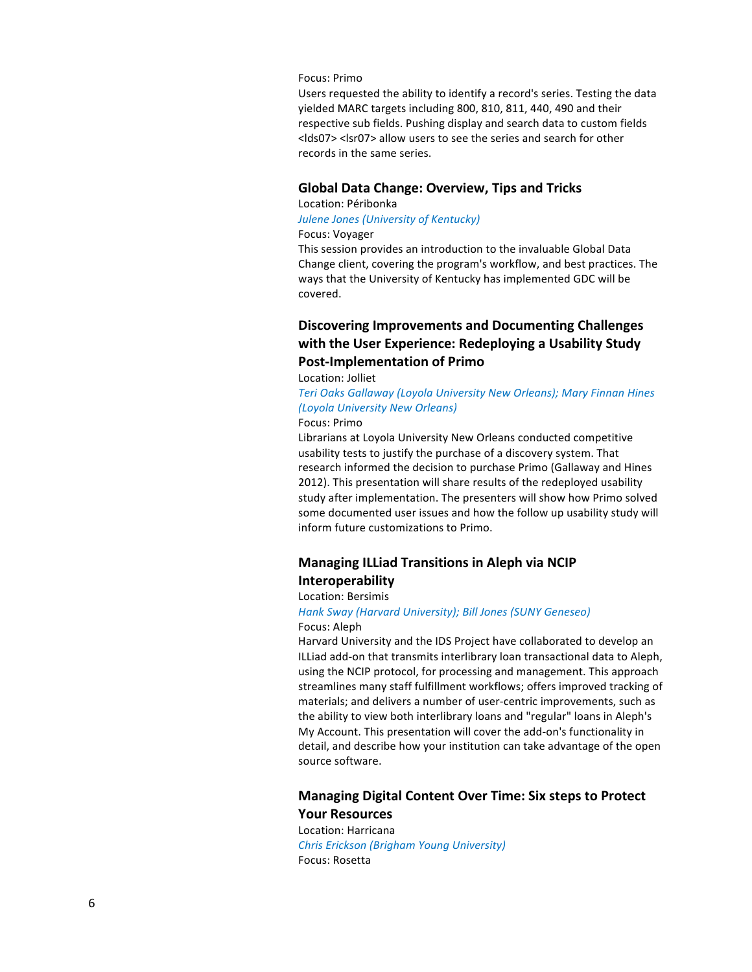## Focus: Primo

Users requested the ability to identify a record's series. Testing the data yielded MARC targets including 800, 810, 811, 440, 490 and their respective sub fields. Pushing display and search data to custom fields <lds07> <lsr07> allow users to see the series and search for other records in the same series.

# **Global Data Change: Overview, Tips and Tricks**

# Location: Péribonka **Julene Jones (University of Kentucky)** Focus: Voyager

This session provides an introduction to the invaluable Global Data Change client, covering the program's workflow, and best practices. The ways that the University of Kentucky has implemented GDC will be covered.

# **Discovering Improvements and Documenting Challenges** with the User Experience: Redeploying a Usability Study **Post-Implementation of Primo**

## Location: Jolliet

**Teri Oaks Gallaway (Loyola University New Orleans); Mary Finnan Hines** *(Loyola University New Orleans)*

## Focus: Primo

Librarians at Loyola University New Orleans conducted competitive usability tests to justify the purchase of a discovery system. That research informed the decision to purchase Primo (Gallaway and Hines 2012). This presentation will share results of the redeployed usability study after implementation. The presenters will show how Primo solved some documented user issues and how the follow up usability study will inform future customizations to Primo.

# **Managing ILLiad Transitions in Aleph via NCIP Interoperability**

### Location: Bersimis

## *Hank Sway (Harvard University); Bill Jones (SUNY Geneseo)* Focus: Aleph

Harvard University and the IDS Project have collaborated to develop an ILLiad add-on that transmits interlibrary loan transactional data to Aleph, using the NCIP protocol, for processing and management. This approach streamlines many staff fulfillment workflows; offers improved tracking of materials; and delivers a number of user-centric improvements, such as the ability to view both interlibrary loans and "regular" loans in Aleph's My Account. This presentation will cover the add-on's functionality in detail, and describe how your institution can take advantage of the open source software.

# **Managing Digital Content Over Time: Six steps to Protect Your Resources**

Location: Harricana *Chris Erickson (Brigham Young University)* Focus: Rosetta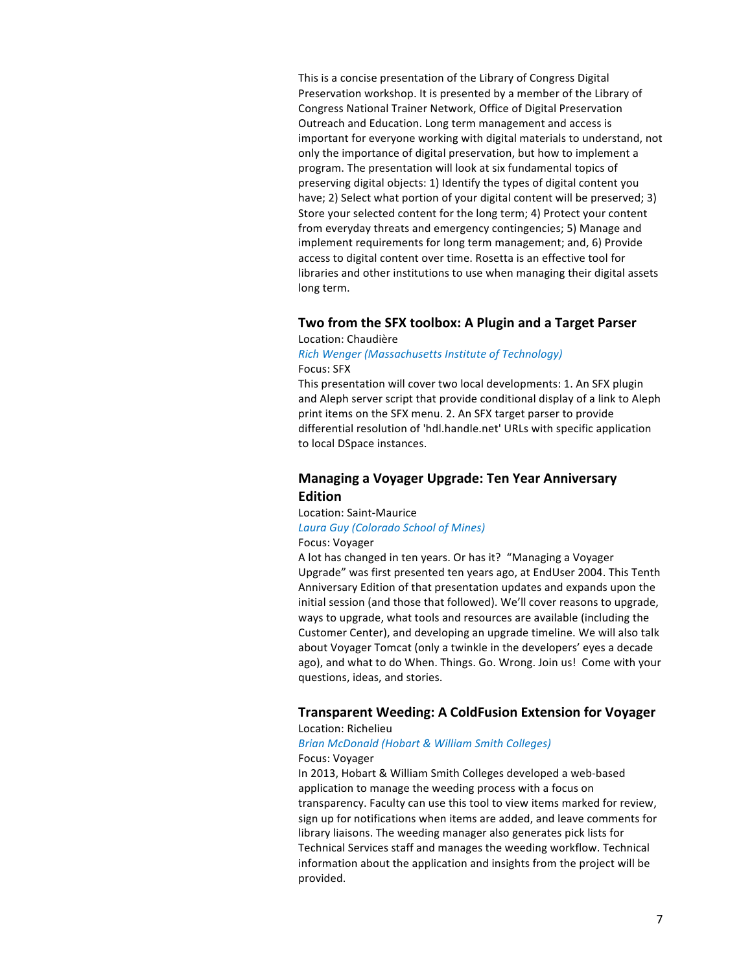This is a concise presentation of the Library of Congress Digital Preservation workshop. It is presented by a member of the Library of Congress National Trainer Network, Office of Digital Preservation Outreach and Education. Long term management and access is important for everyone working with digital materials to understand, not only the importance of digital preservation, but how to implement a program. The presentation will look at six fundamental topics of preserving digital objects: 1) Identify the types of digital content you have; 2) Select what portion of your digital content will be preserved; 3) Store your selected content for the long term; 4) Protect your content from everyday threats and emergency contingencies; 5) Manage and implement requirements for long term management; and, 6) Provide access to digital content over time. Rosetta is an effective tool for libraries and other institutions to use when managing their digital assets long term.

# **Two from the SFX toolbox: A Plugin and a Target Parser** Location: Chaudière

## *Rich Wenger (Massachusetts Institute of Technology)* Focus: SFX

This presentation will cover two local developments: 1. An SFX plugin and Aleph server script that provide conditional display of a link to Aleph print items on the SFX menu. 2. An SFX target parser to provide differential resolution of 'hdl.handle.net' URLs with specific application to local DSpace instances.

# **Managing a Voyager Upgrade: Ten Year Anniversary Edition**

Location: Saint-Maurice

# *Laura Guy (Colorado School of Mines)*

## Focus: Voyager

A lot has changed in ten years. Or has it? "Managing a Voyager Upgrade" was first presented ten years ago, at EndUser 2004. This Tenth Anniversary Edition of that presentation updates and expands upon the initial session (and those that followed). We'll cover reasons to upgrade, ways to upgrade, what tools and resources are available (including the Customer Center), and developing an upgrade timeline. We will also talk about Voyager Tomcat (only a twinkle in the developers' eyes a decade ago), and what to do When. Things. Go. Wrong. Join us! Come with your questions, ideas, and stories.

## **Transparent Weeding: A ColdFusion Extension for Voyager** Location: Richelieu

# *Brian McDonald (Hobart & William Smith Colleges)* Focus: Voyager

In 2013, Hobart & William Smith Colleges developed a web-based application to manage the weeding process with a focus on transparency. Faculty can use this tool to view items marked for review, sign up for notifications when items are added, and leave comments for library liaisons. The weeding manager also generates pick lists for Technical Services staff and manages the weeding workflow. Technical information about the application and insights from the project will be provided.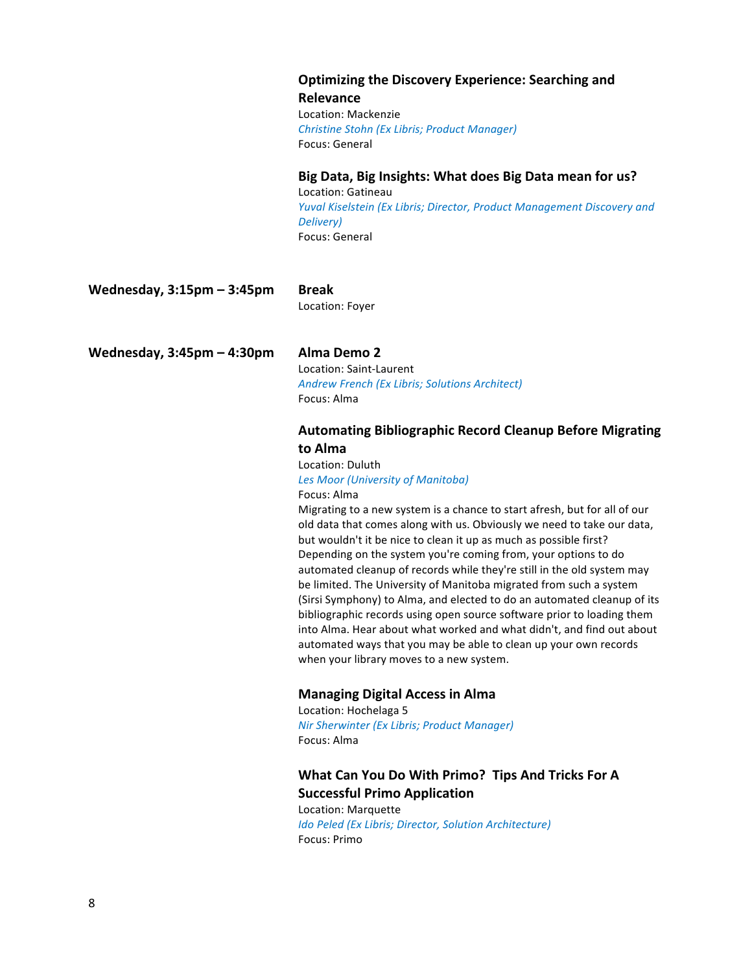# **Optimizing the Discovery Experience: Searching and**

**Relevance** Location: Mackenzie *Christine Stohn (Ex Libris; Product Manager)* Focus: General

# Big Data, Big Insights: What does Big Data mean for us?

Location: Gatineau *Yuval Kiselstein (Ex Libris; Director, Product Management Discovery and Delivery)* Focus: General

**Wednesday, 3:15pm – 3:45pm Break**

Location: Foyer

**Wednesday, 3:45pm – 4:30pm Alma Demo 2**

Location: Saint-Laurent *Andrew French (Ex Libris; Solutions Architect)* Focus: Alma

# **Automating Bibliographic Record Cleanup Before Migrating to Alma**

Location: Duluth *Les Moor (University of Manitoba)*

## Focus: Alma

Migrating to a new system is a chance to start afresh, but for all of our old data that comes along with us. Obviously we need to take our data, but wouldn't it be nice to clean it up as much as possible first? Depending on the system you're coming from, your options to do automated cleanup of records while they're still in the old system may be limited. The University of Manitoba migrated from such a system (Sirsi Symphony) to Alma, and elected to do an automated cleanup of its bibliographic records using open source software prior to loading them into Alma. Hear about what worked and what didn't, and find out about automated ways that you may be able to clean up your own records when your library moves to a new system.

# **Managing Digital Access in Alma**

Location: Hochelaga 5 *Nir Sherwinter (Ex Libris; Product Manager)* Focus: Alma

# **What Can You Do With Primo? Tips And Tricks For A Successful Primo Application**

Location: Marquette *Ido Peled (Ex Libris; Director, Solution Architecture)* Focus: Primo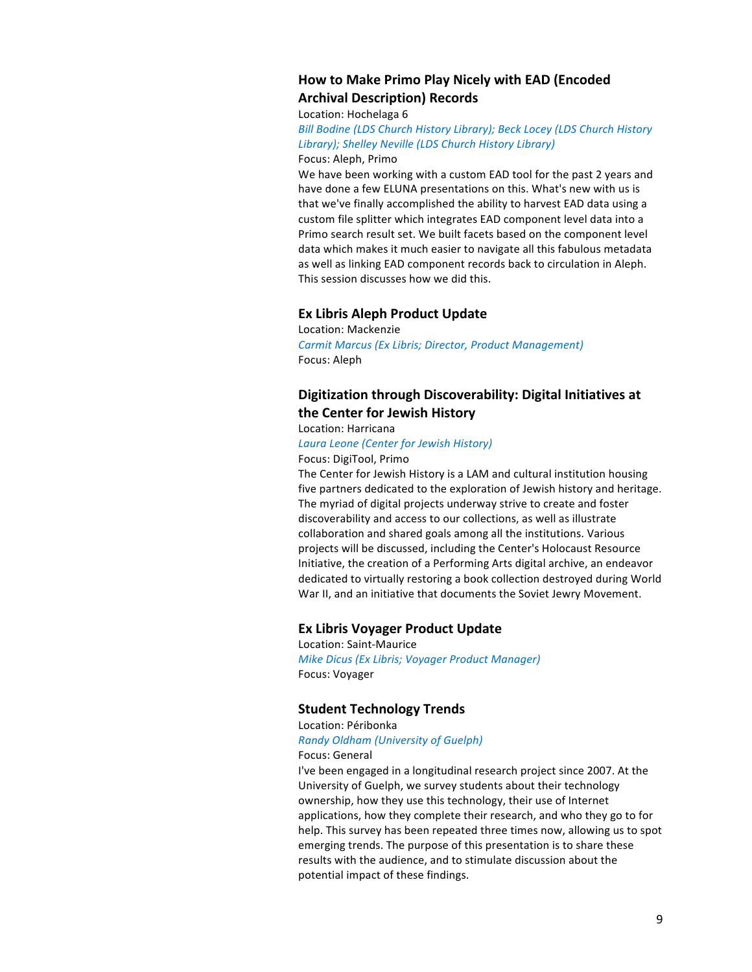# **How to Make Primo Play Nicely with EAD (Encoded Archival Description) Records**

Location: Hochelaga 6

*Bill Bodine (LDS Church History Library); Beck Locey (LDS Church History* Library); Shelley Neville (LDS Church History Library) Focus: Aleph, Primo

We have been working with a custom EAD tool for the past 2 years and have done a few ELUNA presentations on this. What's new with us is that we've finally accomplished the ability to harvest EAD data using a custom file splitter which integrates EAD component level data into a Primo search result set. We built facets based on the component level data which makes it much easier to navigate all this fabulous metadata as well as linking EAD component records back to circulation in Aleph. This session discusses how we did this.

# **Ex Libris Aleph Product Update**

Location: Mackenzie *Carmit Marcus (Ex Libris; Director, Product Management)* Focus: Aleph

# Digitization through Discoverability: Digital Initiatives at **the Center for Jewish History**

Location: Harricana *Laura Leone (Center for Jewish History)*

Focus: DigiTool, Primo The Center for Jewish History is a LAM and cultural institution housing five partners dedicated to the exploration of Jewish history and heritage.

The myriad of digital projects underway strive to create and foster discoverability and access to our collections, as well as illustrate collaboration and shared goals among all the institutions. Various projects will be discussed, including the Center's Holocaust Resource Initiative, the creation of a Performing Arts digital archive, an endeavor dedicated to virtually restoring a book collection destroyed during World War II, and an initiative that documents the Soviet Jewry Movement.

# **Ex Libris Voyager Product Update**

Location: Saint-Maurice *Mike Dicus (Ex Libris; Voyager Product Manager)* Focus: Voyager

# **Student Technology Trends**

Location: Péribonka

*Randy Oldham (University of Guelph)* Focus: General

I've been engaged in a longitudinal research project since 2007. At the University of Guelph, we survey students about their technology ownership, how they use this technology, their use of Internet applications, how they complete their research, and who they go to for help. This survey has been repeated three times now, allowing us to spot emerging trends. The purpose of this presentation is to share these results with the audience, and to stimulate discussion about the potential impact of these findings.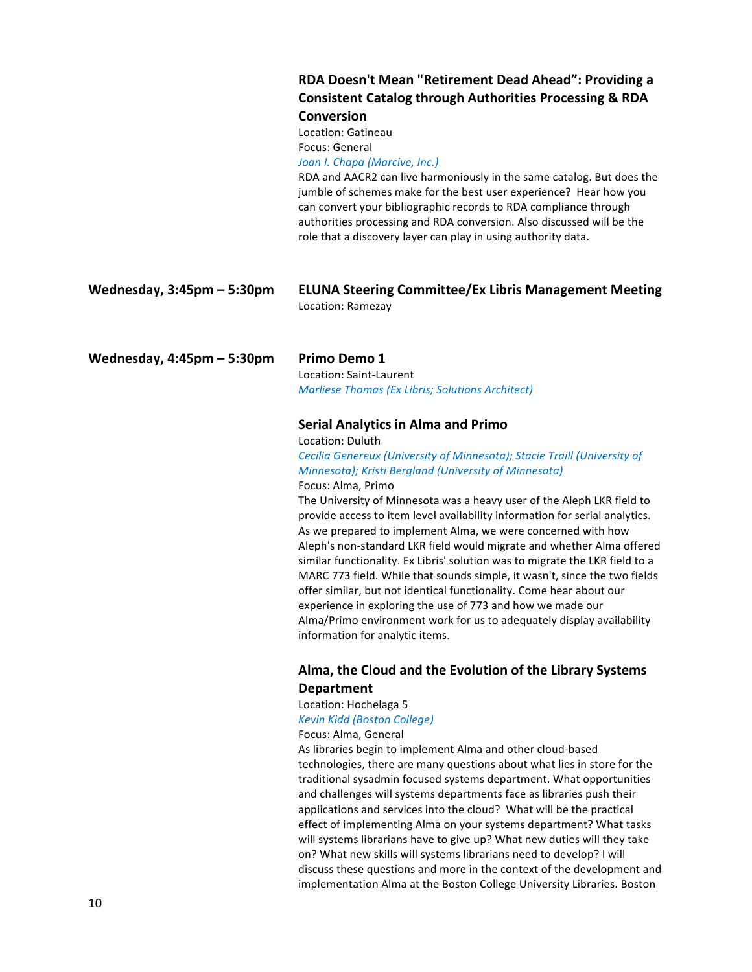# **RDA Doesn't Mean "Retirement Dead Ahead": Providing a Consistent Catalog through Authorities Processing & RDA Conversion**

Location: Gatineau Focus: General Joan *I. Chapa* (Marcive, Inc.)

RDA and AACR2 can live harmoniously in the same catalog. But does the jumble of schemes make for the best user experience? Hear how you can convert your bibliographic records to RDA compliance through authorities processing and RDA conversion. Also discussed will be the role that a discovery layer can play in using authority data.

| Wednesday, $3:45$ pm – 5:30pm | <b>ELUNA Steering Committee/Ex Libris Management Meeting</b> |
|-------------------------------|--------------------------------------------------------------|
|                               | Location: Ramezay                                            |

**Wednesday, 4:45pm – 5:30pm Primo Demo 1**

Location: Saint-Laurent *Marliese Thomas (Ex Libris; Solutions Architect)*

# **Serial Analytics in Alma and Primo**

Location: Duluth

*Cecilia Genereux (University of Minnesota); Stacie Traill (University of Minnesota); Kristi Bergland (University of Minnesota)* Focus: Alma, Primo

The University of Minnesota was a heavy user of the Aleph LKR field to provide access to item level availability information for serial analytics. As we prepared to implement Alma, we were concerned with how Aleph's non-standard LKR field would migrate and whether Alma offered similar functionality. Ex Libris' solution was to migrate the LKR field to a MARC 773 field. While that sounds simple, it wasn't, since the two fields offer similar, but not identical functionality. Come hear about our experience in exploring the use of 773 and how we made our Alma/Primo environment work for us to adequately display availability information for analytic items.

# Alma, the Cloud and the Evolution of the Library Systems **Department**

# Location: Hochelaga 5

*Kevin Kidd (Boston College)*

Focus: Alma, General

As libraries begin to implement Alma and other cloud-based technologies, there are many questions about what lies in store for the traditional sysadmin focused systems department. What opportunities and challenges will systems departments face as libraries push their applications and services into the cloud? What will be the practical effect of implementing Alma on your systems department? What tasks will systems librarians have to give up? What new duties will they take on? What new skills will systems librarians need to develop? I will discuss these questions and more in the context of the development and implementation Alma at the Boston College University Libraries. Boston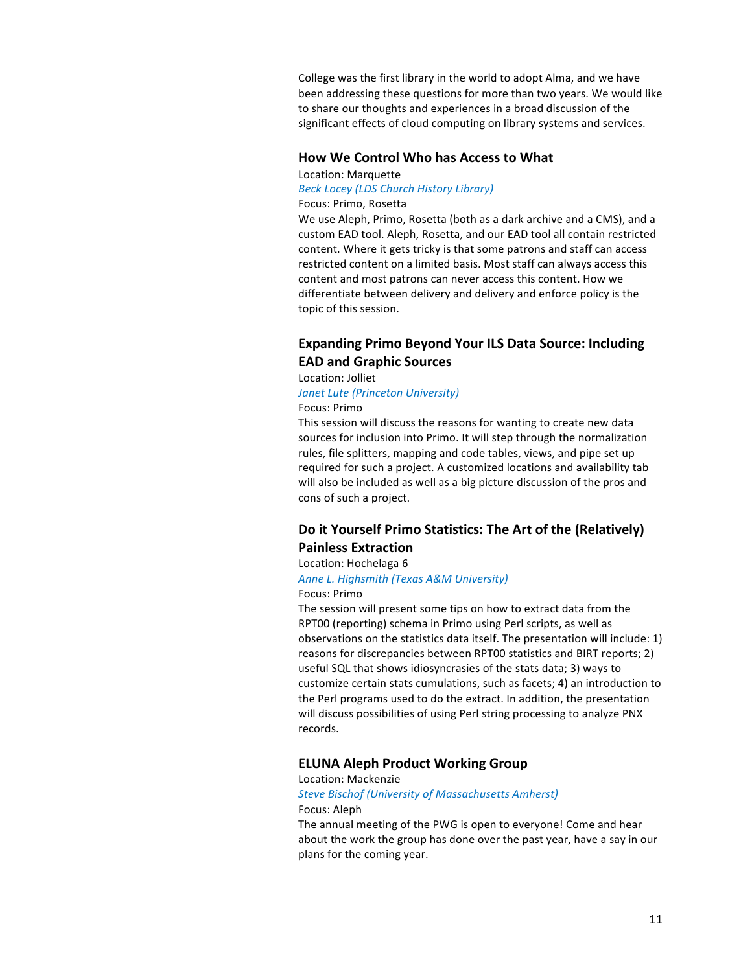College was the first library in the world to adopt Alma, and we have been addressing these questions for more than two years. We would like to share our thoughts and experiences in a broad discussion of the significant effects of cloud computing on library systems and services.

# **How We Control Who has Access to What**

Location: Marquette

## *Beck Locey (LDS Church History Library)* Focus: Primo, Rosetta

We use Aleph, Primo, Rosetta (both as a dark archive and a CMS), and a custom EAD tool. Aleph, Rosetta, and our EAD tool all contain restricted content. Where it gets tricky is that some patrons and staff can access restricted content on a limited basis. Most staff can always access this content and most patrons can never access this content. How we differentiate between delivery and delivery and enforce policy is the topic of this session.

# **Expanding Primo Beyond Your ILS Data Source: Including EAD and Graphic Sources**

Location: Jolliet

## *Janet Lute (Princeton University)*

Focus: Primo

This session will discuss the reasons for wanting to create new data sources for inclusion into Primo. It will step through the normalization rules, file splitters, mapping and code tables, views, and pipe set up required for such a project. A customized locations and availability tab will also be included as well as a big picture discussion of the pros and cons of such a project.

# Do it Yourself Primo Statistics: The Art of the (Relatively) **Painless Extraction**

# Location: Hochelaga 6

**Anne L. Highsmith (Texas A&M University)** Focus: Primo

The session will present some tips on how to extract data from the RPT00 (reporting) schema in Primo using Perl scripts, as well as observations on the statistics data itself. The presentation will include:  $1)$ reasons for discrepancies between RPT00 statistics and BIRT reports; 2) useful SQL that shows idiosyncrasies of the stats data; 3) ways to customize certain stats cumulations, such as facets; 4) an introduction to the Perl programs used to do the extract. In addition, the presentation will discuss possibilities of using Perl string processing to analyze PNX records.

## **ELUNA Aleph Product Working Group**

### Location: Mackenzie

**Steve Bischof (University of Massachusetts Amherst)** Focus: Aleph

The annual meeting of the PWG is open to everyone! Come and hear about the work the group has done over the past year, have a say in our plans for the coming year.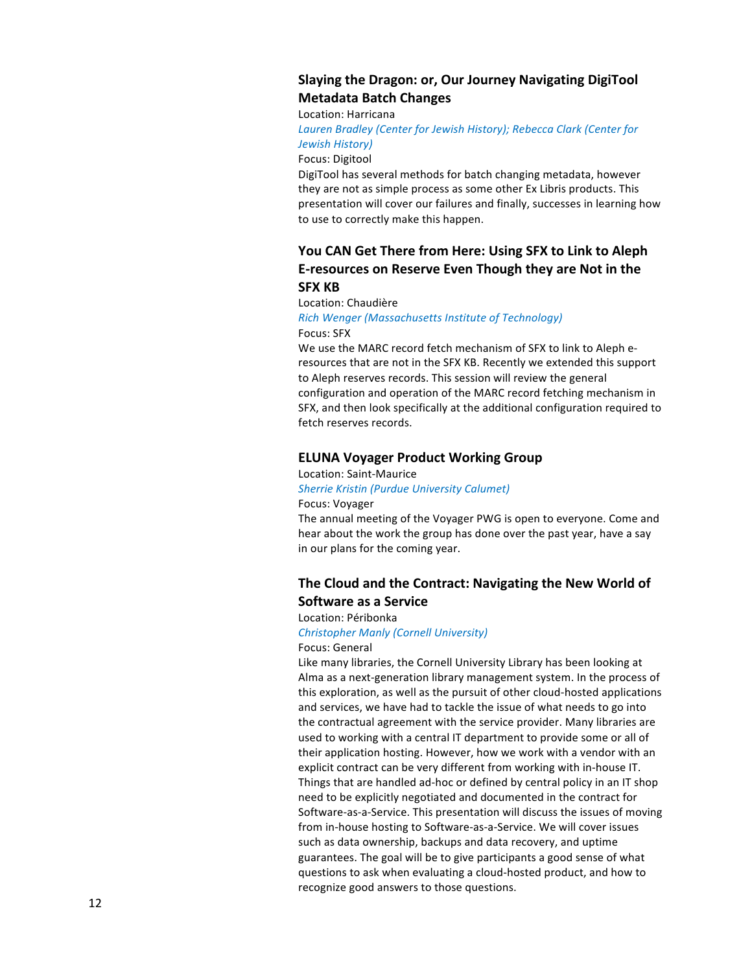# Slaying the Dragon: or, Our Journey Navigating DigiTool **Metadata Batch Changes**

Location: Harricana

Lauren Bradley (Center for Jewish History); Rebecca Clark (Center for *Jewish History)*

## Focus: Digitool

DigiTool has several methods for batch changing metadata, however they are not as simple process as some other Ex Libris products. This presentation will cover our failures and finally, successes in learning how to use to correctly make this happen.

# You CAN Get There from Here: Using SFX to Link to Aleph **E-resources on Reserve Even Though they are Not in the SFX KB**

## Location: Chaudière

## *Rich Wenger (Massachusetts Institute of Technology)* Focus: SFX

We use the MARC record fetch mechanism of SFX to link to Aleph eresources that are not in the SFX KB. Recently we extended this support to Aleph reserves records. This session will review the general configuration and operation of the MARC record fetching mechanism in SFX, and then look specifically at the additional configuration required to fetch reserves records.

# **ELUNA Voyager Product Working Group**

## Location: Saint-Maurice

# *Sherrie Kristin (Purdue University Calumet)*

## Focus: Voyager

The annual meeting of the Voyager PWG is open to everyone. Come and hear about the work the group has done over the past year, have a say in our plans for the coming year.

# The Cloud and the Contract: Navigating the New World of **Software as a Service**

## Location: Péribonka

# *Christopher Manly (Cornell University)*

Focus: General

Like many libraries, the Cornell University Library has been looking at Alma as a next-generation library management system. In the process of this exploration, as well as the pursuit of other cloud-hosted applications and services, we have had to tackle the issue of what needs to go into the contractual agreement with the service provider. Many libraries are used to working with a central IT department to provide some or all of their application hosting. However, how we work with a vendor with an explicit contract can be very different from working with in-house IT. Things that are handled ad-hoc or defined by central policy in an IT shop need to be explicitly negotiated and documented in the contract for Software-as-a-Service. This presentation will discuss the issues of moving from in-house hosting to Software-as-a-Service. We will cover issues such as data ownership, backups and data recovery, and uptime guarantees. The goal will be to give participants a good sense of what questions to ask when evaluating a cloud-hosted product, and how to recognize good answers to those questions.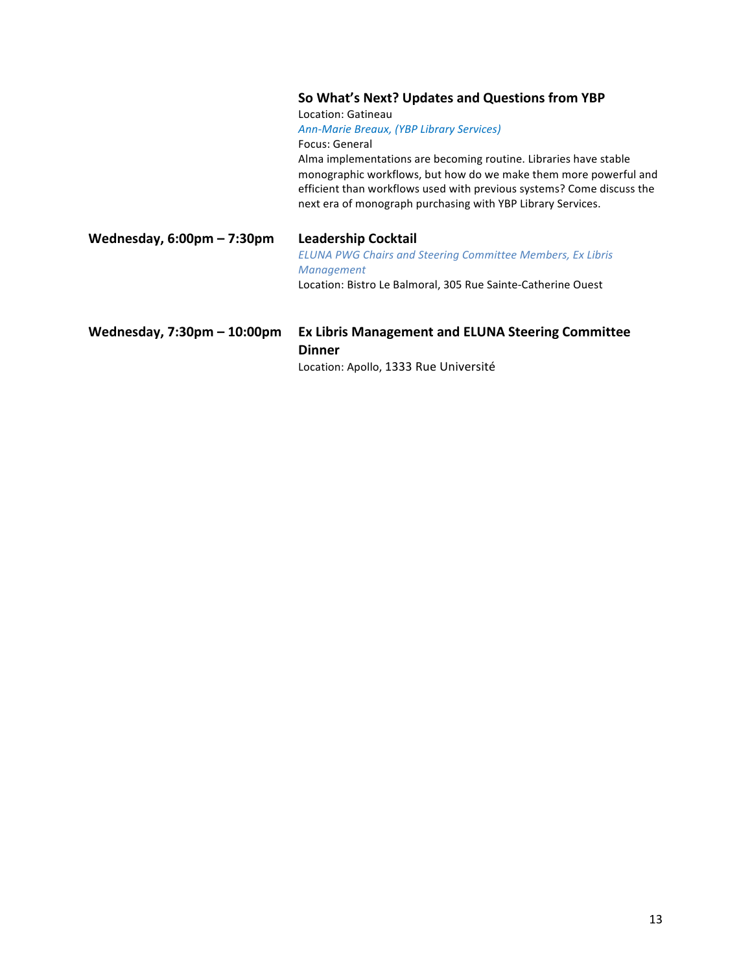# So What's Next? Updates and Questions from YBP

Location: Gatineau

*Ann-Marie Breaux, (YBP Library Services)* Focus: General

Alma implementations are becoming routine. Libraries have stable monographic workflows, but how do we make them more powerful and efficient than workflows used with previous systems? Come discuss the next era of monograph purchasing with YBP Library Services.

Wednesday, 6:00pm - 7:30pm Leadership Cocktail

*ELUNA PWG Chairs and Steering Committee Members, Ex Libris Management* Location: Bistro Le Balmoral, 305 Rue Sainte-Catherine Ouest

# Wednesday, 7:30pm - 10:00pm Ex Libris Management and ELUNA Steering Committee **Dinner**

Location: Apollo, 1333 Rue Université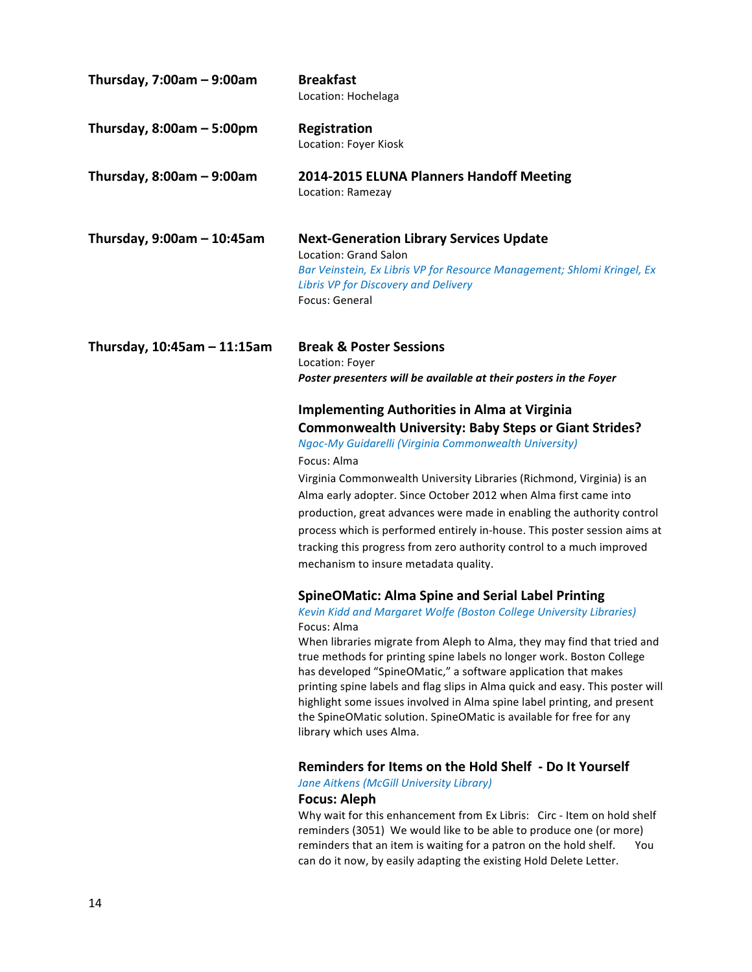| Thursday, $7:00am - 9:00am$      | <b>Breakfast</b><br>Location: Hochelaga                                                                                                                                                                                                                                                                                                                                                                                                                                                                                                                                                                                                                                                        |
|----------------------------------|------------------------------------------------------------------------------------------------------------------------------------------------------------------------------------------------------------------------------------------------------------------------------------------------------------------------------------------------------------------------------------------------------------------------------------------------------------------------------------------------------------------------------------------------------------------------------------------------------------------------------------------------------------------------------------------------|
| Thursday, $8:00am - 5:00pm$      | Registration<br>Location: Foyer Kiosk                                                                                                                                                                                                                                                                                                                                                                                                                                                                                                                                                                                                                                                          |
| Thursday, $8:00am - 9:00am$      | 2014-2015 ELUNA Planners Handoff Meeting<br>Location: Ramezay                                                                                                                                                                                                                                                                                                                                                                                                                                                                                                                                                                                                                                  |
| Thursday, $9:00am - 10:45am$     | <b>Next-Generation Library Services Update</b><br>Location: Grand Salon<br>Bar Veinstein, Ex Libris VP for Resource Management; Shlomi Kringel, Ex<br>Libris VP for Discovery and Delivery<br>Focus: General                                                                                                                                                                                                                                                                                                                                                                                                                                                                                   |
| Thursday, $10:45$ am $-11:15$ am | <b>Break &amp; Poster Sessions</b><br>Location: Foyer<br>Poster presenters will be available at their posters in the Foyer                                                                                                                                                                                                                                                                                                                                                                                                                                                                                                                                                                     |
|                                  | <b>Implementing Authorities in Alma at Virginia</b><br><b>Commonwealth University: Baby Steps or Giant Strides?</b><br>Ngoc-My Guidarelli (Virginia Commonwealth University)<br>Focus: Alma<br>Virginia Commonwealth University Libraries (Richmond, Virginia) is an<br>Alma early adopter. Since October 2012 when Alma first came into<br>production, great advances were made in enabling the authority control<br>process which is performed entirely in-house. This poster session aims at<br>tracking this progress from zero authority control to a much improved<br>mechanism to insure metadata quality.                                                                              |
|                                  | <b>SpineOMatic: Alma Spine and Serial Label Printing</b><br>Kevin Kidd and Margaret Wolfe (Boston College University Libraries)<br>Focus: Alma<br>When libraries migrate from Aleph to Alma, they may find that tried and<br>true methods for printing spine labels no longer work. Boston College<br>has developed "SpineOMatic," a software application that makes<br>printing spine labels and flag slips in Alma quick and easy. This poster will<br>highlight some issues involved in Alma spine label printing, and present<br>the SpineOMatic solution. SpineOMatic is available for free for any<br>library which uses Alma.<br>Reminders for Items on the Hold Shelf - Do It Yourself |
|                                  | Jane Aitkens (McGill University Library)<br><b>Focus: Aleph</b><br>Why wait for this enhancement from Ex Libris: Circ - Item on hold shelf                                                                                                                                                                                                                                                                                                                                                                                                                                                                                                                                                     |

reminders (3051) We would like to be able to produce one (or more) reminders that an item is waiting for a patron on the hold shelf. You can do it now, by easily adapting the existing Hold Delete Letter.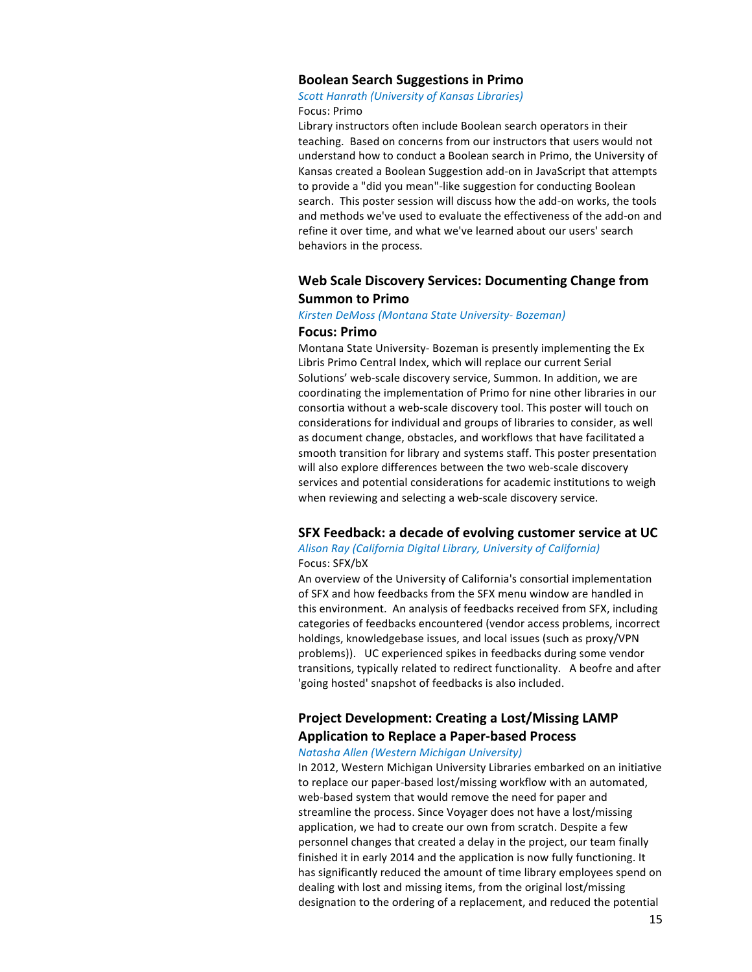## **Boolean Search Suggestions in Primo**

## *Scott Hanrath (University of Kansas Libraries)* Focus: Primo

Library instructors often include Boolean search operators in their teaching. Based on concerns from our instructors that users would not understand how to conduct a Boolean search in Primo, the University of Kansas created a Boolean Suggestion add-on in JavaScript that attempts to provide a "did you mean"-like suggestion for conducting Boolean search. This poster session will discuss how the add-on works, the tools and methods we've used to evaluate the effectiveness of the add-on and refine it over time, and what we've learned about our users' search behaviors in the process.

# Web Scale Discovery Services: Documenting Change from **Summon to Primo**

## *Kirsten DeMoss (Montana State University- Bozeman)* **Focus: Primo**

Montana State University- Bozeman is presently implementing the Ex Libris Primo Central Index, which will replace our current Serial Solutions' web-scale discovery service, Summon. In addition, we are coordinating the implementation of Primo for nine other libraries in our consortia without a web-scale discovery tool. This poster will touch on considerations for individual and groups of libraries to consider, as well as document change, obstacles, and workflows that have facilitated a smooth transition for library and systems staff. This poster presentation will also explore differences between the two web-scale discovery services and potential considerations for academic institutions to weigh when reviewing and selecting a web-scale discovery service.

# **SFX Feedback: a decade of evolving customer service at UC**

## Alison Ray (California Digital Library, University of California) Focus: SFX/bX

An overview of the University of California's consortial implementation of SFX and how feedbacks from the SFX menu window are handled in this environment. An analysis of feedbacks received from SFX, including categories of feedbacks encountered (vendor access problems, incorrect holdings, knowledgebase issues, and local issues (such as proxy/VPN problems)). UC experienced spikes in feedbacks during some vendor transitions, typically related to redirect functionality. A beofre and after 'going hosted' snapshot of feedbacks is also included.

# **Project Development: Creating a Lost/Missing LAMP Application to Replace a Paper-based Process**

## *Natasha Allen (Western Michigan University)*

In 2012, Western Michigan University Libraries embarked on an initiative to replace our paper-based lost/missing workflow with an automated, web-based system that would remove the need for paper and streamline the process. Since Voyager does not have a lost/missing application, we had to create our own from scratch. Despite a few personnel changes that created a delay in the project, our team finally finished it in early 2014 and the application is now fully functioning. It has significantly reduced the amount of time library employees spend on dealing with lost and missing items, from the original lost/missing designation to the ordering of a replacement, and reduced the potential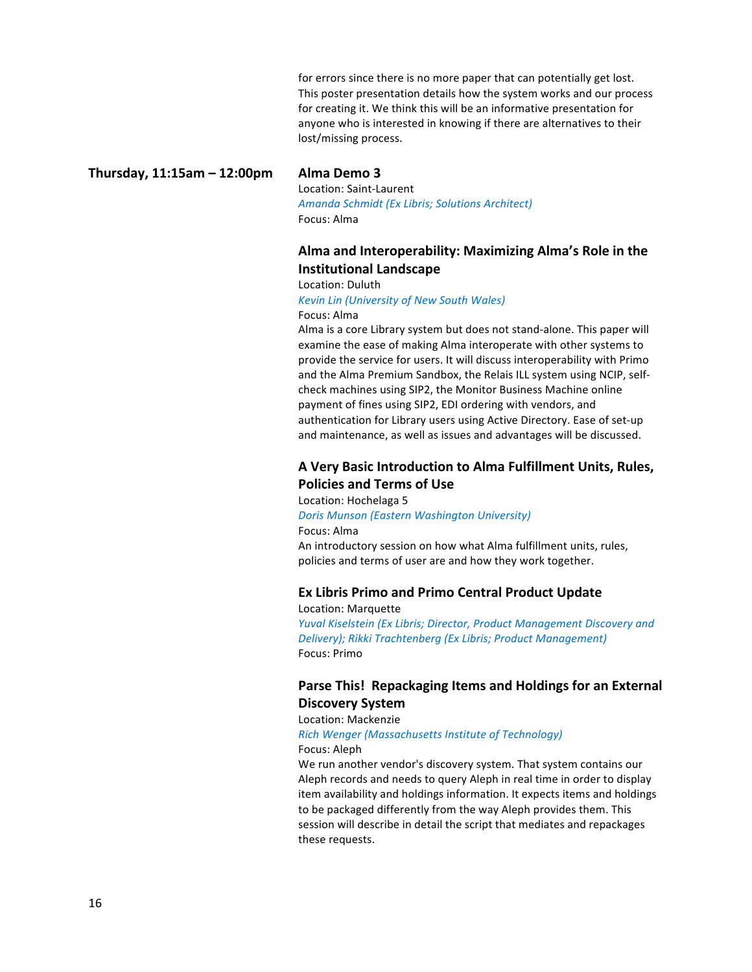for errors since there is no more paper that can potentially get lost. This poster presentation details how the system works and our process for creating it. We think this will be an informative presentation for anyone who is interested in knowing if there are alternatives to their lost/missing process.

**Thursday, 11:15am – 12:00pm Alma Demo 3**

Location: Saint-Laurent *Amanda Schmidt (Ex Libris; Solutions Architect)* Focus: Alma

# Alma and Interoperability: Maximizing Alma's Role in the **Institutional Landscape**

Location: Duluth

**Kevin Lin (University of New South Wales)** 

Focus: Alma

Alma is a core Library system but does not stand-alone. This paper will examine the ease of making Alma interoperate with other systems to provide the service for users. It will discuss interoperability with Primo and the Alma Premium Sandbox, the Relais ILL system using NCIP, selfcheck machines using SIP2, the Monitor Business Machine online payment of fines using SIP2, EDI ordering with vendors, and authentication for Library users using Active Directory. Ease of set-up and maintenance, as well as issues and advantages will be discussed.

# A Very Basic Introduction to Alma Fulfillment Units, Rules, **Policies and Terms of Use**

Location: Hochelaga 5 *Doris Munson (Eastern Washington University)* Focus: Alma An introductory session on how what Alma fulfillment units, rules, policies and terms of user are and how they work together.

# **Ex Libris Primo and Primo Central Product Update**

Location: Marquette *Yuval Kiselstein (Ex Libris; Director, Product Management Discovery and* Delivery); Rikki Trachtenberg (Ex Libris; Product Management) Focus: Primo

# Parse This! Repackaging Items and Holdings for an External **Discovery System**

Location: Mackenzie

*Rich Wenger (Massachusetts Institute of Technology)*

Focus: Aleph

We run another vendor's discovery system. That system contains our Aleph records and needs to query Aleph in real time in order to display item availability and holdings information. It expects items and holdings to be packaged differently from the way Aleph provides them. This session will describe in detail the script that mediates and repackages these requests.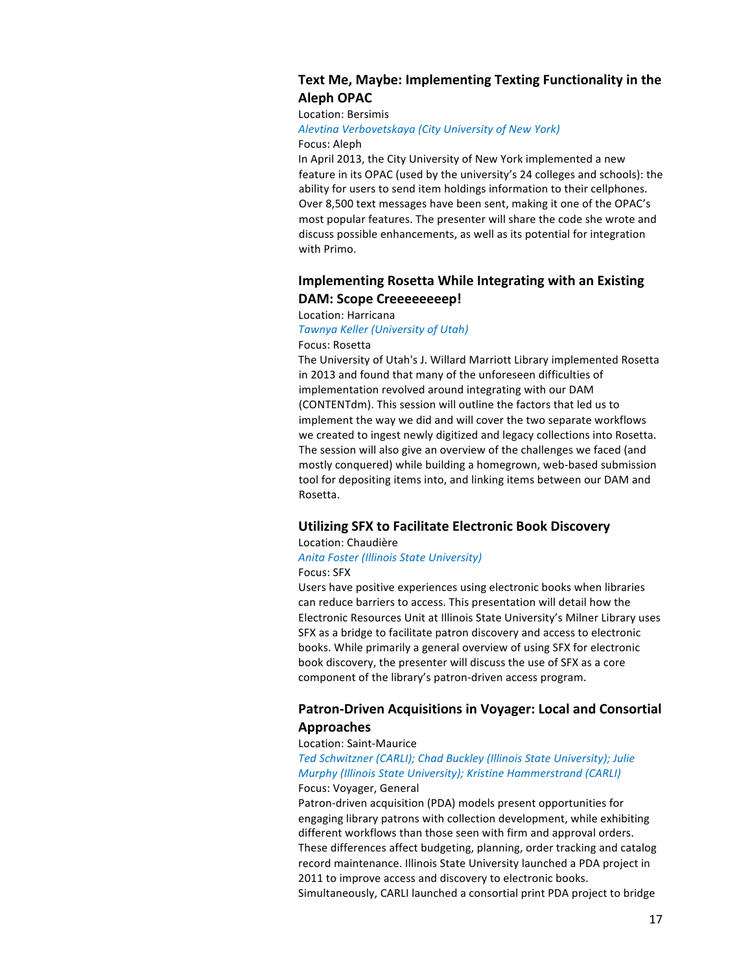# **Text Me, Maybe: Implementing Texting Functionality in the Aleph OPAC**

## Location: Bersimis

*Alevtina Verbovetskaya (City University of New York)* Focus: Aleph

In April 2013, the City University of New York implemented a new feature in its OPAC (used by the university's 24 colleges and schools): the ability for users to send item holdings information to their cellphones. Over 8,500 text messages have been sent, making it one of the OPAC's most popular features. The presenter will share the code she wrote and discuss possible enhancements, as well as its potential for integration with Primo.

# **Implementing Rosetta While Integrating with an Existing DAM: Scope Creeeeeeeep!**

## Location: Harricana

## *Tawnya Keller (University of Utah)*

Focus: Rosetta

The University of Utah's J. Willard Marriott Library implemented Rosetta in 2013 and found that many of the unforeseen difficulties of implementation revolved around integrating with our DAM (CONTENTdm). This session will outline the factors that led us to implement the way we did and will cover the two separate workflows we created to ingest newly digitized and legacy collections into Rosetta. The session will also give an overview of the challenges we faced (and mostly conquered) while building a homegrown, web-based submission tool for depositing items into, and linking items between our DAM and Rosetta.

# **Utilizing SFX to Facilitate Electronic Book Discovery**

## Location: Chaudière

*Anita Foster (Illinois State University)* Focus: SFX

Users have positive experiences using electronic books when libraries can reduce barriers to access. This presentation will detail how the Electronic Resources Unit at Illinois State University's Milner Library uses SFX as a bridge to facilitate patron discovery and access to electronic books. While primarily a general overview of using SFX for electronic book discovery, the presenter will discuss the use of SFX as a core component of the library's patron-driven access program.

# **Patron-Driven Acquisitions in Voyager: Local and Consortial Approaches**

## Location: Saint-Maurice

# Ted Schwitzner *(CARLI);* Chad Buckley *(Illinois State University); Julie Murphy (Illinois State University); Kristine Hammerstrand (CARLI)* Focus: Voyager, General

Patron-driven acquisition (PDA) models present opportunities for engaging library patrons with collection development, while exhibiting different workflows than those seen with firm and approval orders. These differences affect budgeting, planning, order tracking and catalog record maintenance. Illinois State University launched a PDA project in 2011 to improve access and discovery to electronic books. Simultaneously, CARLI launched a consortial print PDA project to bridge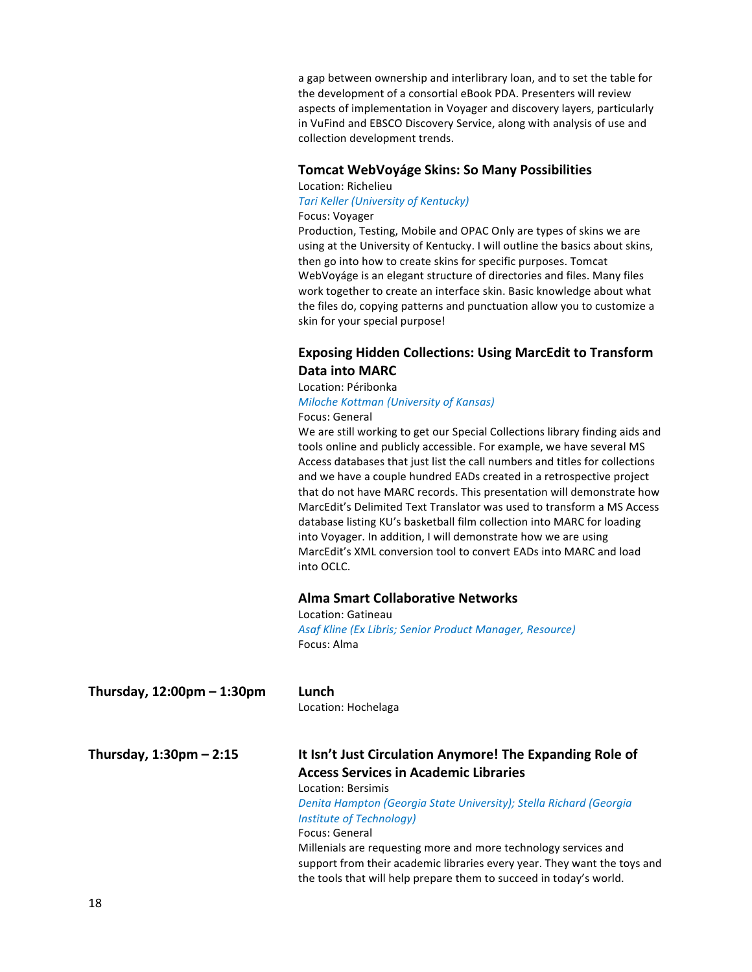a gap between ownership and interlibrary loan, and to set the table for the development of a consortial eBook PDA. Presenters will review aspects of implementation in Voyager and discovery layers, particularly in VuFind and EBSCO Discovery Service, along with analysis of use and collection development trends.

# **Tomcat WebVoyáge Skins: So Many Possibilities**

Location: Richelieu

# **Tari Keller (University of Kentucky)**

# Focus: Voyager

Production, Testing, Mobile and OPAC Only are types of skins we are using at the University of Kentucky. I will outline the basics about skins, then go into how to create skins for specific purposes. Tomcat WebVoyáge is an elegant structure of directories and files. Many files work together to create an interface skin. Basic knowledge about what the files do, copying patterns and punctuation allow you to customize a skin for your special purpose!

# **Exposing Hidden Collections: Using MarcEdit to Transform** Data into **MARC**

# Location: Péribonka *Miloche Kottman (University of Kansas)* Focus: General

We are still working to get our Special Collections library finding aids and tools online and publicly accessible. For example, we have several MS Access databases that just list the call numbers and titles for collections and we have a couple hundred EADs created in a retrospective project that do not have MARC records. This presentation will demonstrate how MarcEdit's Delimited Text Translator was used to transform a MS Access database listing KU's basketball film collection into MARC for loading into Voyager. In addition, I will demonstrate how we are using MarcEdit's XML conversion tool to convert EADs into MARC and load into OCLC.

# **Alma Smart Collaborative Networks**

Location: Gatineau Asaf Kline (Ex Libris; Senior Product Manager, Resource) Focus: Alma

| Thursday, 12:00pm – 1:30pm | Lunch<br>Location: Hochelaga                                                                                                                                                                                      |
|----------------------------|-------------------------------------------------------------------------------------------------------------------------------------------------------------------------------------------------------------------|
| Thursday, 1:30pm – 2:15    | It Isn't Just Circulation Anymore! The Expanding Role of                                                                                                                                                          |
|                            | <b>Access Services in Academic Libraries</b>                                                                                                                                                                      |
|                            | Location: Bersimis                                                                                                                                                                                                |
|                            | Denita Hampton (Georgia State University); Stella Richard (Georgia                                                                                                                                                |
|                            | Institute of Technology)                                                                                                                                                                                          |
|                            | Focus: General                                                                                                                                                                                                    |
|                            | Millenials are requesting more and more technology services and<br>support from their academic libraries every year. They want the toys and<br>the tools that will help prepare them to succeed in today's world. |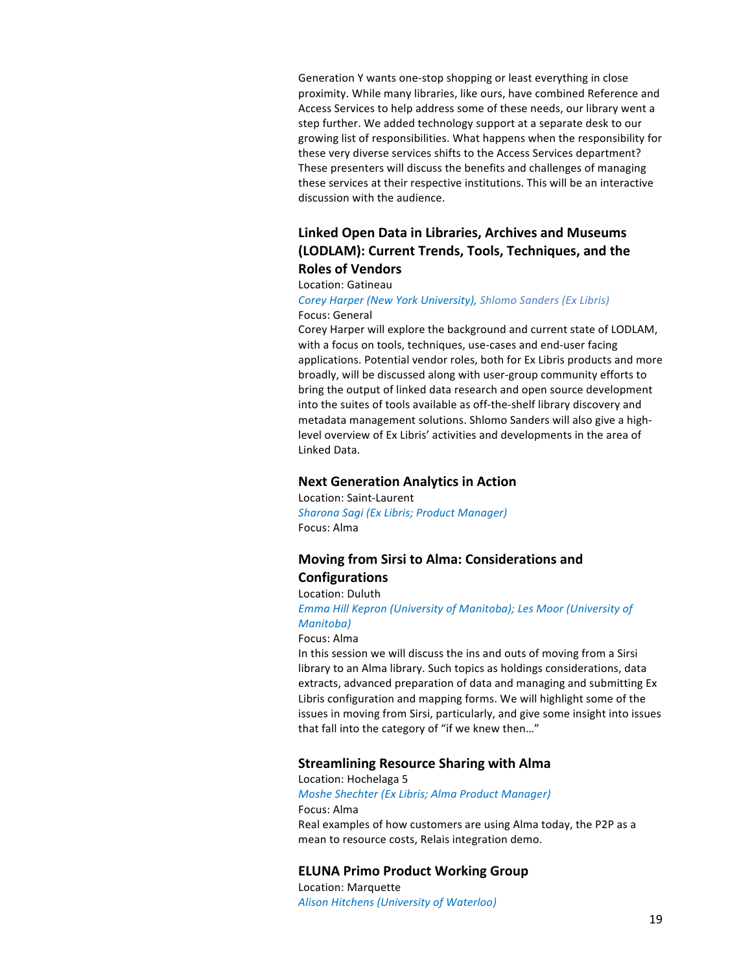Generation Y wants one-stop shopping or least everything in close proximity. While many libraries, like ours, have combined Reference and Access Services to help address some of these needs, our library went a step further. We added technology support at a separate desk to our growing list of responsibilities. What happens when the responsibility for these very diverse services shifts to the Access Services department? These presenters will discuss the benefits and challenges of managing these services at their respective institutions. This will be an interactive discussion with the audience.

# Linked Open Data in Libraries, Archives and Museums **(LODLAM): Current Trends, Tools, Techniques, and the Roles of Vendors**

## Location: Gatineau

## *Corey Harper (New York University), Shlomo Sanders (Ex Libris)* Focus: General

Corey Harper will explore the background and current state of LODLAM, with a focus on tools, techniques, use-cases and end-user facing applications. Potential vendor roles, both for Ex Libris products and more broadly, will be discussed along with user-group community efforts to bring the output of linked data research and open source development into the suites of tools available as off-the-shelf library discovery and metadata management solutions. Shlomo Sanders will also give a highlevel overview of Ex Libris' activities and developments in the area of Linked Data.

# **Next Generation Analytics in Action**

Location: Saint-Laurent *Sharona Sagi (Ex Libris; Product Manager)* Focus: Alma

# **Moving from Sirsi to Alma: Considerations and Configurations**

# Location: Duluth

*Emma Hill Kepron (University of Manitoba); Les Moor (University of Manitoba)*

## Focus: Alma

In this session we will discuss the ins and outs of moving from a Sirsi library to an Alma library. Such topics as holdings considerations, data extracts, advanced preparation of data and managing and submitting Ex Libris configuration and mapping forms. We will highlight some of the issues in moving from Sirsi, particularly, and give some insight into issues that fall into the category of "if we knew then..."

## **Streamlining Resource Sharing with Alma**

Location: Hochelaga 5 *Moshe Shechter (Ex Libris; Alma Product Manager)* Focus: Alma Real examples of how customers are using Alma today, the P2P as a mean to resource costs, Relais integration demo.

## **ELUNA Primo Product Working Group**

Location: Marquette *Alison Hitchens (University of Waterloo)*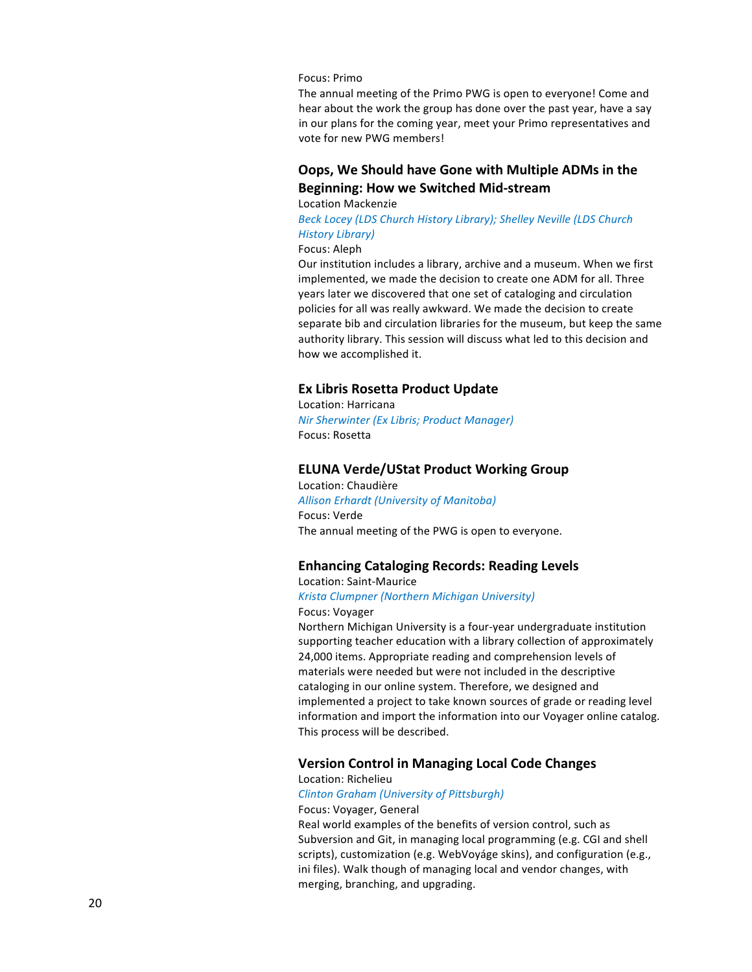## Focus: Primo

The annual meeting of the Primo PWG is open to everyone! Come and hear about the work the group has done over the past year, have a say in our plans for the coming year, meet your Primo representatives and vote for new PWG members!

# **Oops, We Should have Gone with Multiple ADMs in the Beginning: How we Switched Mid-stream**

Location Mackenzie

*Beck Locey (LDS Church History Library); Shelley Neville (LDS Church History Library)*

## Focus: Aleph

Our institution includes a library, archive and a museum. When we first implemented, we made the decision to create one ADM for all. Three years later we discovered that one set of cataloging and circulation policies for all was really awkward. We made the decision to create separate bib and circulation libraries for the museum, but keep the same authority library. This session will discuss what led to this decision and how we accomplished it.

## **Ex Libris Rosetta Product Update**

Location: Harricana *Nir Sherwinter (Ex Libris; Product Manager)* Focus: Rosetta

# **ELUNA Verde/UStat Product Working Group**

Location: Chaudière *Allison Erhardt (University of Manitoba)* Focus: Verde The annual meeting of the PWG is open to everyone.

# **Enhancing Cataloging Records: Reading Levels**

## Location: Saint-Maurice *Krista Clumpner (Northern Michigan University)*

Focus: Voyager

Northern Michigan University is a four-year undergraduate institution supporting teacher education with a library collection of approximately 24,000 items. Appropriate reading and comprehension levels of materials were needed but were not included in the descriptive cataloging in our online system. Therefore, we designed and implemented a project to take known sources of grade or reading level information and import the information into our Voyager online catalog. This process will be described.

## **Version Control in Managing Local Code Changes**

Location: Richelieu

## *Clinton Graham (University of Pittsburgh)*

## Focus: Voyager, General

Real world examples of the benefits of version control, such as Subversion and Git, in managing local programming (e.g. CGI and shell scripts), customization (e.g. WebVoyáge skins), and configuration (e.g., ini files). Walk though of managing local and vendor changes, with merging, branching, and upgrading.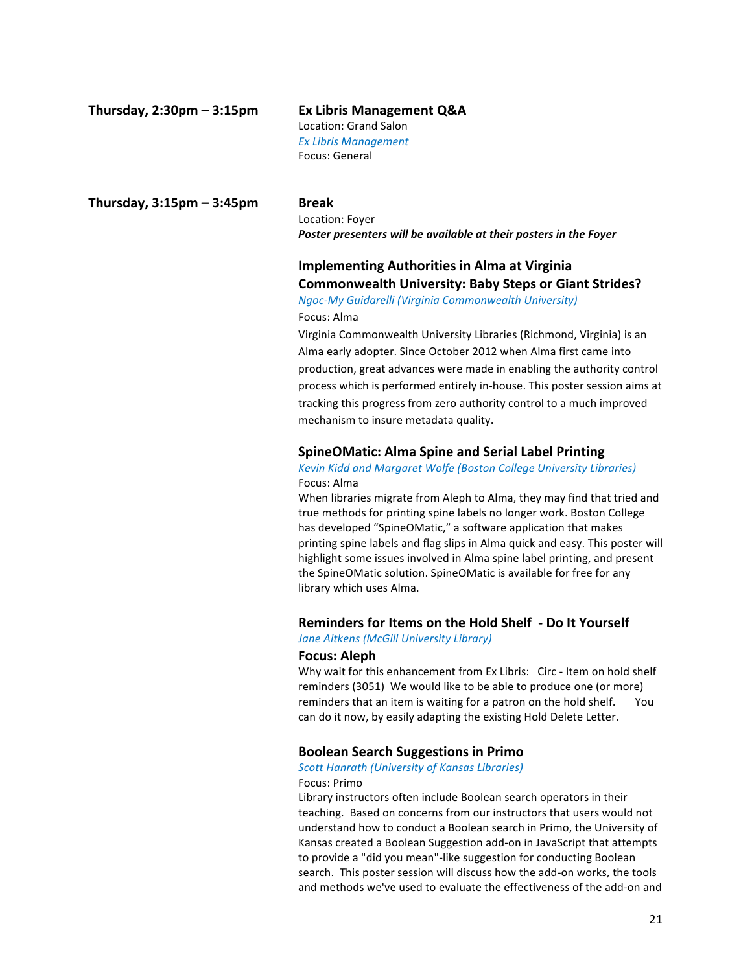# **Thursday, 2:30pm – 3:15pm Ex Libris Management Q&A**

# Location: Grand Salon

*Ex Libris Management* Focus: General

**Thursday, 3:15pm – 3:45pm Break**

Location: Foyer Poster presenters will be available at their posters in the Foyer

# **Implementing Authorities in Alma at Virginia Commonwealth University: Baby Steps or Giant Strides?**

*Ngoc-My Guidarelli (Virginia Commonwealth University)* Focus: Alma

Virginia Commonwealth University Libraries (Richmond, Virginia) is an Alma early adopter. Since October 2012 when Alma first came into production, great advances were made in enabling the authority control process which is performed entirely in-house. This poster session aims at tracking this progress from zero authority control to a much improved mechanism to insure metadata quality.

# **SpineOMatic: Alma Spine and Serial Label Printing**

## **Kevin Kidd and Margaret Wolfe (Boston College University Libraries)** Focus: Alma

When libraries migrate from Aleph to Alma, they may find that tried and true methods for printing spine labels no longer work. Boston College has developed "SpineOMatic," a software application that makes printing spine labels and flag slips in Alma quick and easy. This poster will highlight some issues involved in Alma spine label printing, and present the SpineOMatic solution. SpineOMatic is available for free for any library which uses Alma.

# **Reminders for Items on the Hold Shelf - Do It Yourself**

**Jane Aitkens (McGill University Library)** 

# **Focus: Aleph**

Why wait for this enhancement from Ex Libris: Circ - Item on hold shelf reminders (3051) We would like to be able to produce one (or more) reminders that an item is waiting for a patron on the hold shelf. You can do it now, by easily adapting the existing Hold Delete Letter.

# **Boolean Search Suggestions in Primo**

## *Scott Hanrath (University of Kansas Libraries)* Focus: Primo

Library instructors often include Boolean search operators in their teaching. Based on concerns from our instructors that users would not understand how to conduct a Boolean search in Primo, the University of Kansas created a Boolean Suggestion add-on in JavaScript that attempts to provide a "did you mean"-like suggestion for conducting Boolean search. This poster session will discuss how the add-on works, the tools and methods we've used to evaluate the effectiveness of the add-on and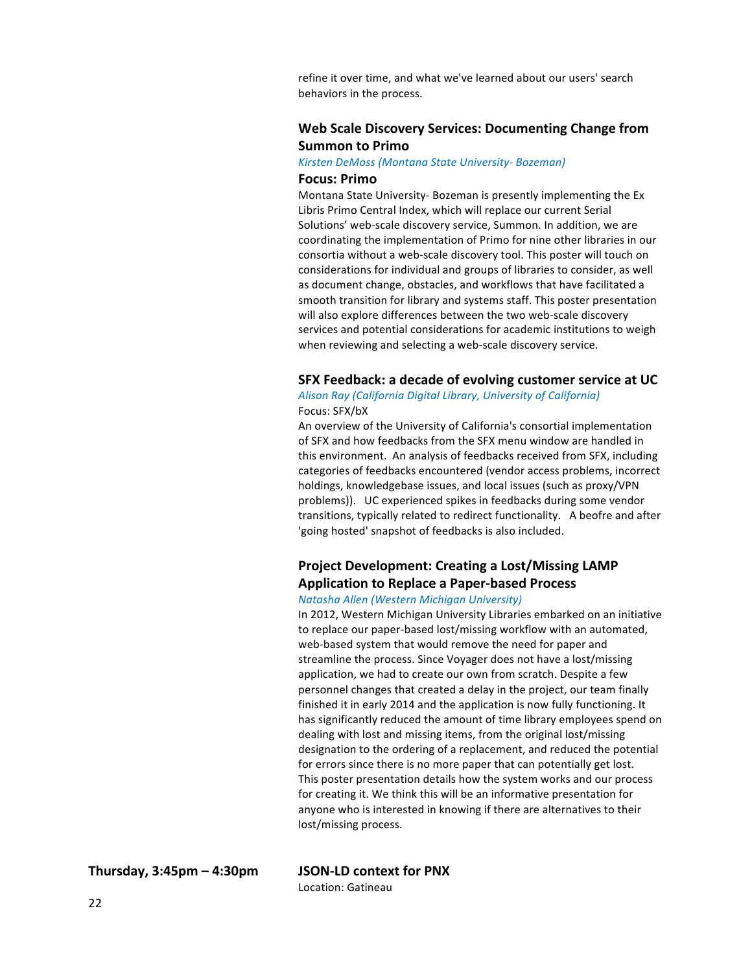refine it over time, and what we've learned about our users' search behaviors in the process.

# **Web Scale Discovery Services: Documenting Change from Summon to Primo**

*Kirsten DeMoss (Montana State University- Bozeman)*

## **Focus: Primo**

Montana State University- Bozeman is presently implementing the Ex Libris Primo Central Index, which will replace our current Serial Solutions' web-scale discovery service, Summon. In addition, we are coordinating the implementation of Primo for nine other libraries in our consortia without a web-scale discovery tool. This poster will touch on considerations for individual and groups of libraries to consider, as well as document change, obstacles, and workflows that have facilitated a smooth transition for library and systems staff. This poster presentation will also explore differences between the two web-scale discovery services and potential considerations for academic institutions to weigh when reviewing and selecting a web-scale discovery service.

## **SFX Feedback: a decade of evolving customer service at UC**

*Alison Ray (California Digital Library, University of California)* Focus: SFX/bX

An overview of the University of California's consortial implementation of SFX and how feedbacks from the SFX menu window are handled in this environment. An analysis of feedbacks received from SFX, including categories of feedbacks encountered (vendor access problems, incorrect holdings, knowledgebase issues, and local issues (such as proxy/VPN problems)). UC experienced spikes in feedbacks during some vendor transitions, typically related to redirect functionality. A beofre and after 'going hosted' snapshot of feedbacks is also included.

# **Project Development: Creating a Lost/Missing LAMP Application to Replace a Paper-based Process**

# *Natasha Allen (Western Michigan University)*

In 2012, Western Michigan University Libraries embarked on an initiative to replace our paper-based lost/missing workflow with an automated, web-based system that would remove the need for paper and streamline the process. Since Voyager does not have a lost/missing application, we had to create our own from scratch. Despite a few personnel changes that created a delay in the project, our team finally finished it in early 2014 and the application is now fully functioning. It has significantly reduced the amount of time library employees spend on dealing with lost and missing items, from the original lost/missing designation to the ordering of a replacement, and reduced the potential for errors since there is no more paper that can potentially get lost. This poster presentation details how the system works and our process for creating it. We think this will be an informative presentation for anyone who is interested in knowing if there are alternatives to their lost/missing process.

**Thursday, 3:45pm – 4:30pm JSON-LD context for PNX**

Location: Gatineau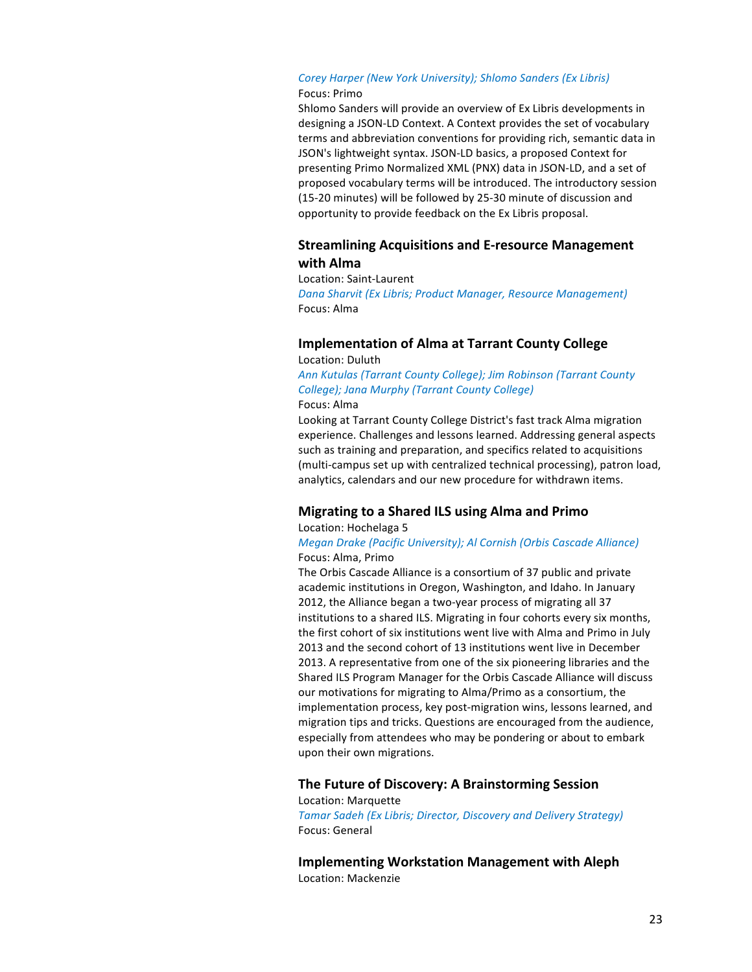## *Corey Harper (New York University); Shlomo Sanders (Ex Libris)* Focus: Primo

Shlomo Sanders will provide an overview of Ex Libris developments in designing a JSON-LD Context. A Context provides the set of vocabulary terms and abbreviation conventions for providing rich, semantic data in JSON's lightweight syntax. JSON-LD basics, a proposed Context for presenting Primo Normalized XML (PNX) data in JSON-LD, and a set of proposed vocabulary terms will be introduced. The introductory session (15-20 minutes) will be followed by 25-30 minute of discussion and opportunity to provide feedback on the Ex Libris proposal.

# **Streamlining Acquisitions and E-resource Management with Alma**

Location: Saint-Laurent

**Dana Sharvit (Ex Libris; Product Manager, Resource Management)** Focus: Alma

## **Implementation of Alma at Tarrant County College** Location: Duluth

Ann Kutulas (Tarrant County College); Jim Robinson (Tarrant County *College); Jana Murphy (Tarrant County College)* Focus: Alma

Looking at Tarrant County College District's fast track Alma migration experience. Challenges and lessons learned. Addressing general aspects such as training and preparation, and specifics related to acquisitions (multi-campus set up with centralized technical processing), patron load, analytics, calendars and our new procedure for withdrawn items.

# **Migrating to a Shared ILS using Alma and Primo**

# Location: Hochelaga 5

# *Megan Drake (Pacific University);* Al Cornish (Orbis Cascade Alliance) Focus: Alma, Primo

The Orbis Cascade Alliance is a consortium of 37 public and private academic institutions in Oregon, Washington, and Idaho. In January 2012, the Alliance began a two-year process of migrating all 37 institutions to a shared ILS. Migrating in four cohorts every six months, the first cohort of six institutions went live with Alma and Primo in July 2013 and the second cohort of 13 institutions went live in December 2013. A representative from one of the six pioneering libraries and the Shared ILS Program Manager for the Orbis Cascade Alliance will discuss our motivations for migrating to Alma/Primo as a consortium, the implementation process, key post-migration wins, lessons learned, and migration tips and tricks. Questions are encouraged from the audience, especially from attendees who may be pondering or about to embark upon their own migrations.

# **The Future of Discovery: A Brainstorming Session**

Location: Marquette **Tamar Sadeh (Ex Libris; Director, Discovery and Delivery Strategy)** Focus: General

**Implementing Workstation Management with Aleph** Location: Mackenzie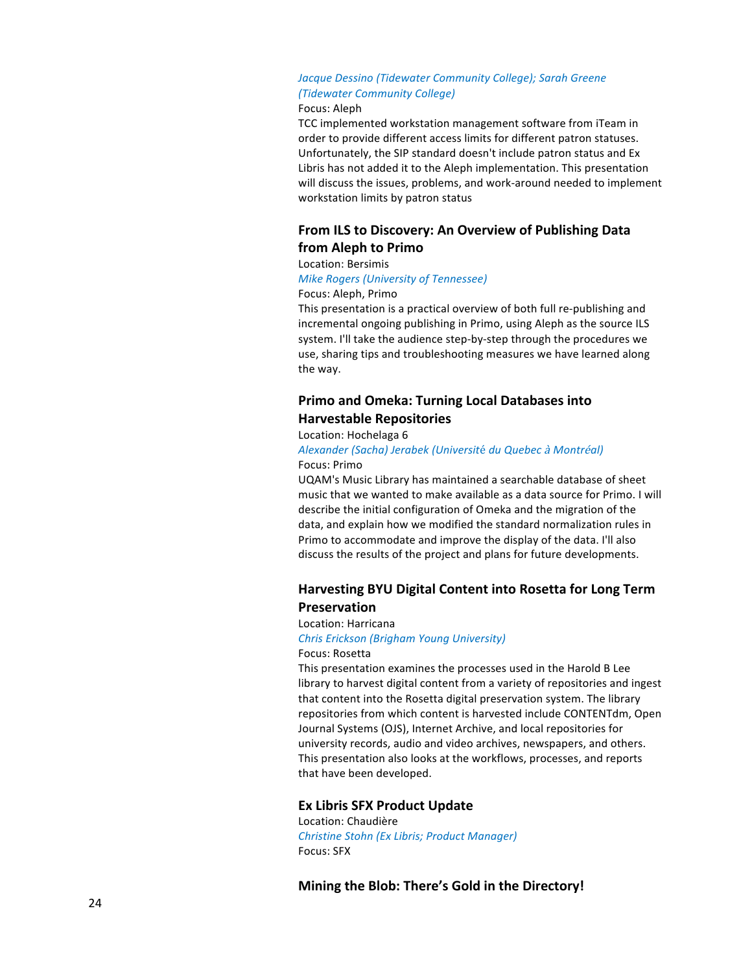# Jacque Dessino (Tidewater Community College); Sarah Greene *(Tidewater Community College)*

## Focus: Aleph

TCC implemented workstation management software from iTeam in order to provide different access limits for different patron statuses. Unfortunately, the SIP standard doesn't include patron status and Ex Libris has not added it to the Aleph implementation. This presentation will discuss the issues, problems, and work-around needed to implement workstation limits by patron status

# **From ILS to Discovery: An Overview of Publishing Data from Aleph to Primo**

## Location: Bersimis

## *Mike Rogers (University of Tennessee)*

## Focus: Aleph, Primo

This presentation is a practical overview of both full re-publishing and incremental ongoing publishing in Primo, using Aleph as the source ILS system. I'll take the audience step-by-step through the procedures we use, sharing tips and troubleshooting measures we have learned along the way.

# **Primo and Omeka: Turning Local Databases into Harvestable Repositories**

## Location: Hochelaga 6

## *Alexander (Sacha) Jerabek (Universit*é *du Quebec* <sup>à</sup> *Montr*é*al)* Focus: Primo

UQAM's Music Library has maintained a searchable database of sheet music that we wanted to make available as a data source for Primo. I will describe the initial configuration of Omeka and the migration of the data, and explain how we modified the standard normalization rules in Primo to accommodate and improve the display of the data. I'll also discuss the results of the project and plans for future developments.

# **Harvesting BYU Digital Content into Rosetta for Long Term Preservation**

### Location: Harricana

*Chris Erickson (Brigham Young University)* Focus: Rosetta

This presentation examines the processes used in the Harold B Lee library to harvest digital content from a variety of repositories and ingest that content into the Rosetta digital preservation system. The library repositories from which content is harvested include CONTENTdm, Open Journal Systems (OJS), Internet Archive, and local repositories for university records, audio and video archives, newspapers, and others. This presentation also looks at the workflows, processes, and reports that have been developed.

## **Ex Libris SFX Product Update**

Location: Chaudière *Christine Stohn (Ex Libris; Product Manager)* Focus: SFX

**Mining the Blob: There's Gold in the Directory!**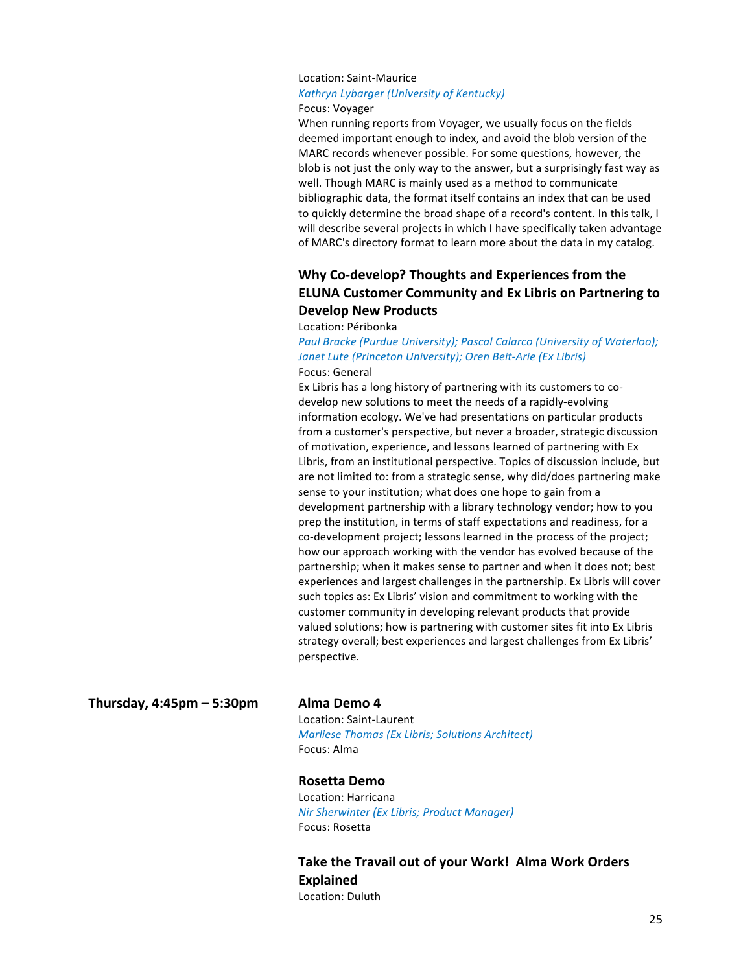# Location: Saint-Maurice **Kathryn Lybarger (University of Kentucky)** Focus: Voyager

When running reports from Voyager, we usually focus on the fields deemed important enough to index, and avoid the blob version of the MARC records whenever possible. For some questions, however, the blob is not just the only way to the answer, but a surprisingly fast way as well. Though MARC is mainly used as a method to communicate bibliographic data, the format itself contains an index that can be used to quickly determine the broad shape of a record's content. In this talk, I will describe several projects in which I have specifically taken advantage of MARC's directory format to learn more about the data in my catalog.

# **Why Co-develop? Thoughts and Experiences from the ELUNA Customer Community and Ex Libris on Partnering to Develop New Products**

Location: Péribonka

Paul Bracke (Purdue University); Pascal Calarco (University of Waterloo); Janet Lute (Princeton University); Oren Beit-Arie (Ex Libris) Focus: General

Ex Libris has a long history of partnering with its customers to codevelop new solutions to meet the needs of a rapidly-evolving information ecology. We've had presentations on particular products from a customer's perspective, but never a broader, strategic discussion of motivation, experience, and lessons learned of partnering with Ex Libris, from an institutional perspective. Topics of discussion include, but are not limited to: from a strategic sense, why did/does partnering make sense to your institution; what does one hope to gain from a development partnership with a library technology vendor; how to you prep the institution, in terms of staff expectations and readiness, for a co-development project; lessons learned in the process of the project; how our approach working with the vendor has evolved because of the partnership; when it makes sense to partner and when it does not; best experiences and largest challenges in the partnership. Ex Libris will cover such topics as: Ex Libris' vision and commitment to working with the customer community in developing relevant products that provide valued solutions; how is partnering with customer sites fit into Ex Libris strategy overall; best experiences and largest challenges from Ex Libris' perspective.

**Thursday, 4:45pm – 5:30pm Alma Demo 4**

Location: Saint-Laurent *Marliese Thomas (Ex Libris; Solutions Architect)* Focus: Alma

# **Rosetta Demo**

Location: Harricana *Nir Sherwinter (Ex Libris; Product Manager)* Focus: Rosetta

Take the Travail out of your Work! Alma Work Orders **Explained** Location: Duluth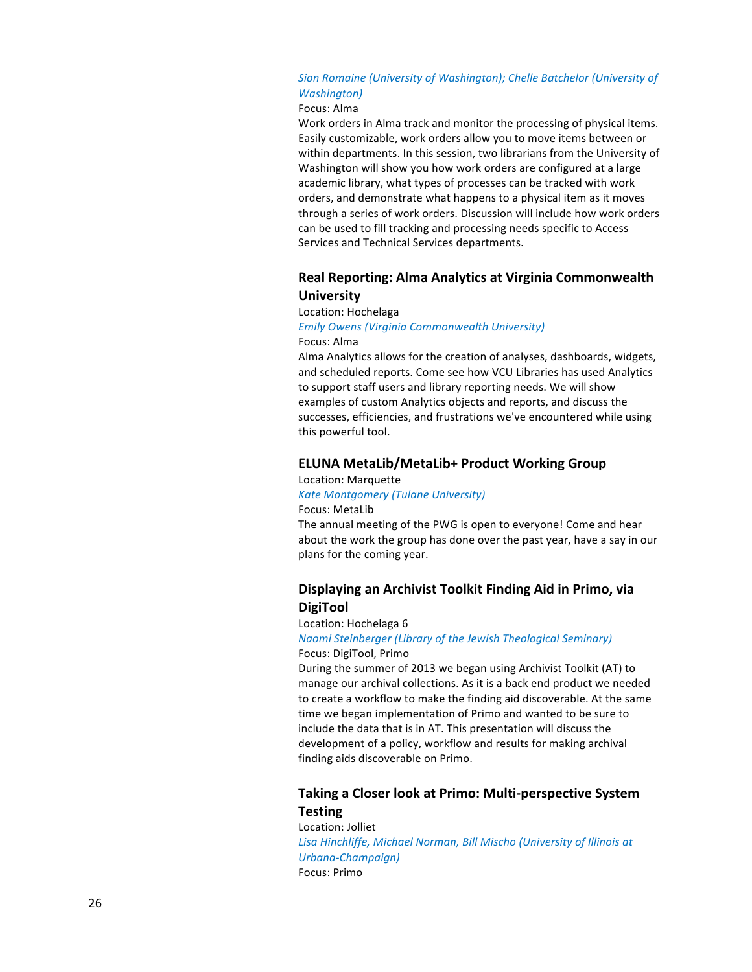# Sion Romaine (University of Washington); Chelle Batchelor (University of *Washington)*

# Focus: Alma

Work orders in Alma track and monitor the processing of physical items. Easily customizable, work orders allow you to move items between or within departments. In this session, two librarians from the University of Washington will show you how work orders are configured at a large academic library, what types of processes can be tracked with work orders, and demonstrate what happens to a physical item as it moves through a series of work orders. Discussion will include how work orders can be used to fill tracking and processing needs specific to Access Services and Technical Services departments.

# **Real Reporting: Alma Analytics at Virginia Commonwealth University**

## Location: Hochelaga

# *Emily Owens (Virginia Commonwealth University)*

# Focus: Alma

Alma Analytics allows for the creation of analyses, dashboards, widgets, and scheduled reports. Come see how VCU Libraries has used Analytics to support staff users and library reporting needs. We will show examples of custom Analytics objects and reports, and discuss the successes, efficiencies, and frustrations we've encountered while using this powerful tool.

# **ELUNA MetaLib/MetaLib+ Product Working Group**

Location: Marquette

*Kate Montgomery (Tulane University)* Focus: MetaLib

The annual meeting of the PWG is open to everyone! Come and hear about the work the group has done over the past year, have a say in our plans for the coming year.

# **Displaying an Archivist Toolkit Finding Aid in Primo, via DigiTool**

## Location: Hochelaga 6

## *Naomi Steinberger (Library of the Jewish Theological Seminary)* Focus: DigiTool, Primo

During the summer of 2013 we began using Archivist Toolkit (AT) to manage our archival collections. As it is a back end product we needed to create a workflow to make the finding aid discoverable. At the same time we began implementation of Primo and wanted to be sure to include the data that is in AT. This presentation will discuss the development of a policy, workflow and results for making archival finding aids discoverable on Primo.

# **Taking a Closer look at Primo: Multi-perspective System Testing**

Location: Jolliet *Lisa Hinchliffe, Michael Norman, Bill Mischo (University of Illinois at Urbana-Champaign)* Focus: Primo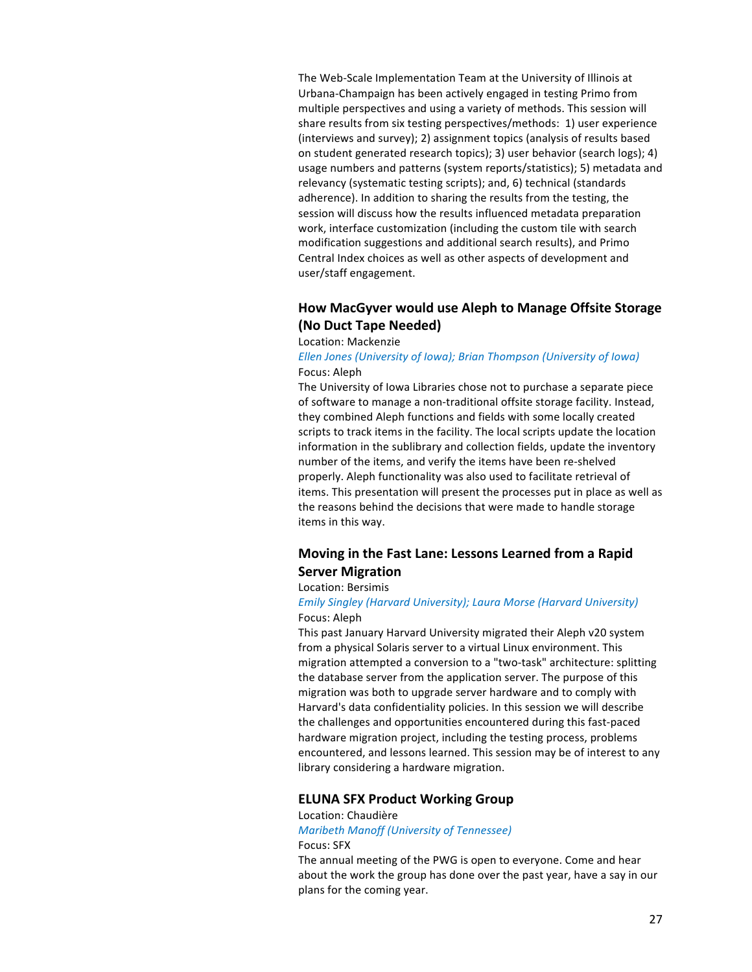The Web-Scale Implementation Team at the University of Illinois at Urbana-Champaign has been actively engaged in testing Primo from multiple perspectives and using a variety of methods. This session will share results from six testing perspectives/methods: 1) user experience (interviews and survey); 2) assignment topics (analysis of results based on student generated research topics); 3) user behavior (search logs); 4) usage numbers and patterns (system reports/statistics); 5) metadata and relevancy (systematic testing scripts); and, 6) technical (standards adherence). In addition to sharing the results from the testing, the session will discuss how the results influenced metadata preparation work, interface customization (including the custom tile with search modification suggestions and additional search results), and Primo Central Index choices as well as other aspects of development and user/staff engagement.

# **How MacGyver would use Aleph to Manage Offsite Storage (No Duct Tape Needed)**

## Location: Mackenzie

# *Ellen Jones (University of Iowa); Brian Thompson (University of Iowa)* Focus: Aleph

The University of Iowa Libraries chose not to purchase a separate piece of software to manage a non-traditional offsite storage facility. Instead, they combined Aleph functions and fields with some locally created scripts to track items in the facility. The local scripts update the location information in the sublibrary and collection fields, update the inventory number of the items, and verify the items have been re-shelved properly. Aleph functionality was also used to facilitate retrieval of items. This presentation will present the processes put in place as well as the reasons behind the decisions that were made to handle storage items in this way.

# Moving in the Fast Lane: Lessons Learned from a Rapid **Server Migration**

# Location: Bersimis

## *Emily Singley (Harvard University); Laura Morse (Harvard University)* Focus: Aleph

This past January Harvard University migrated their Aleph v20 system from a physical Solaris server to a virtual Linux environment. This migration attempted a conversion to a "two-task" architecture: splitting the database server from the application server. The purpose of this migration was both to upgrade server hardware and to comply with Harvard's data confidentiality policies. In this session we will describe the challenges and opportunities encountered during this fast-paced hardware migration project, including the testing process, problems encountered, and lessons learned. This session may be of interest to any library considering a hardware migration.

## **ELUNA SFX Product Working Group**

# Location: Chaudière *Maribeth Manoff (University of Tennessee)* Focus: SFX

The annual meeting of the PWG is open to everyone. Come and hear about the work the group has done over the past year, have a say in our plans for the coming year.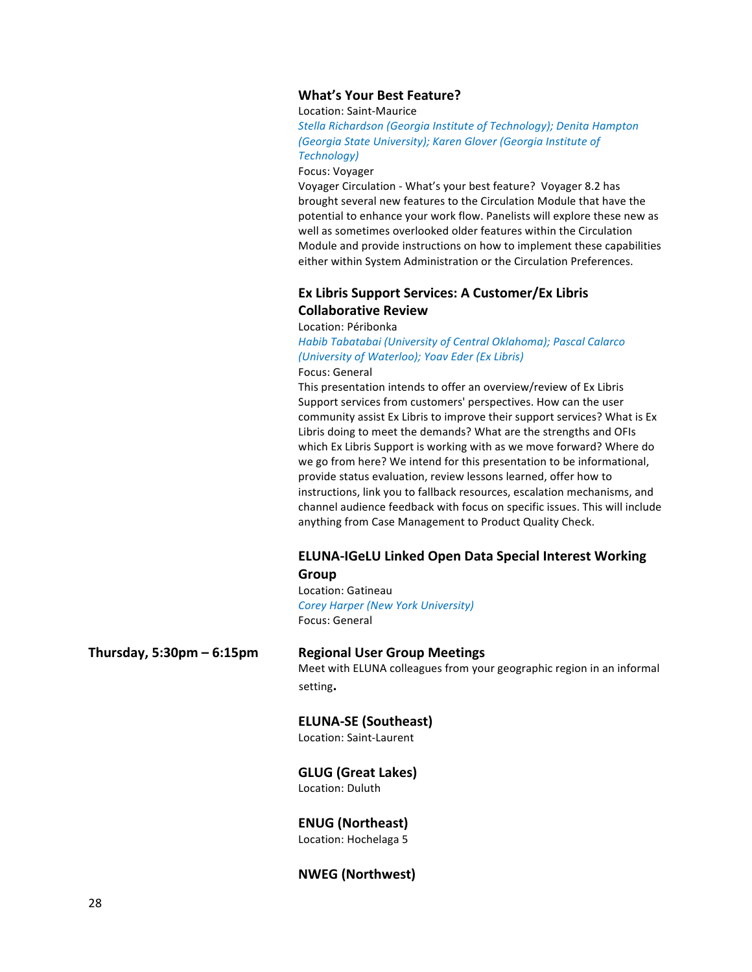# **What's Your Best Feature?**

## Location: Saint-Maurice

**Stella Richardson (Georgia Institute of Technology); Denita Hampton** *(Georgia State University); Karen Glover (Georgia Institute of Technology)*

Focus: Voyager

Voyager Circulation - What's your best feature? Voyager 8.2 has brought several new features to the Circulation Module that have the potential to enhance your work flow. Panelists will explore these new as well as sometimes overlooked older features within the Circulation Module and provide instructions on how to implement these capabilities either within System Administration or the Circulation Preferences.

# **Ex Libris Support Services: A Customer/Ex Libris Collaborative Review**

Location: Péribonka

Habib Tabatabai (University of Central Oklahoma); Pascal Calarco *(University of Waterloo); Yoav Eder (Ex Libris)*

Focus: General

This presentation intends to offer an overview/review of Ex Libris Support services from customers' perspectives. How can the user community assist Ex Libris to improve their support services? What is Ex Libris doing to meet the demands? What are the strengths and OFIs which Ex Libris Support is working with as we move forward? Where do we go from here? We intend for this presentation to be informational, provide status evaluation, review lessons learned, offer how to instructions, link you to fallback resources, escalation mechanisms, and channel audience feedback with focus on specific issues. This will include anything from Case Management to Product Quality Check.

# **ELUNA-IGeLU Linked Open Data Special Interest Working Group**

Location: Gatineau *Corey Harper (New York University)* Focus: General

**Thursday, 5:30pm – 6:15pm Regional User Group Meetings**

Meet with ELUNA colleagues from your geographic region in an informal setting**.**

## **ELUNA-SE (Southeast)**

Location: Saint-Laurent

# **GLUG (Great Lakes)**

Location: Duluth

## **ENUG (Northeast)**

Location: Hochelaga 5

# **NWEG (Northwest)**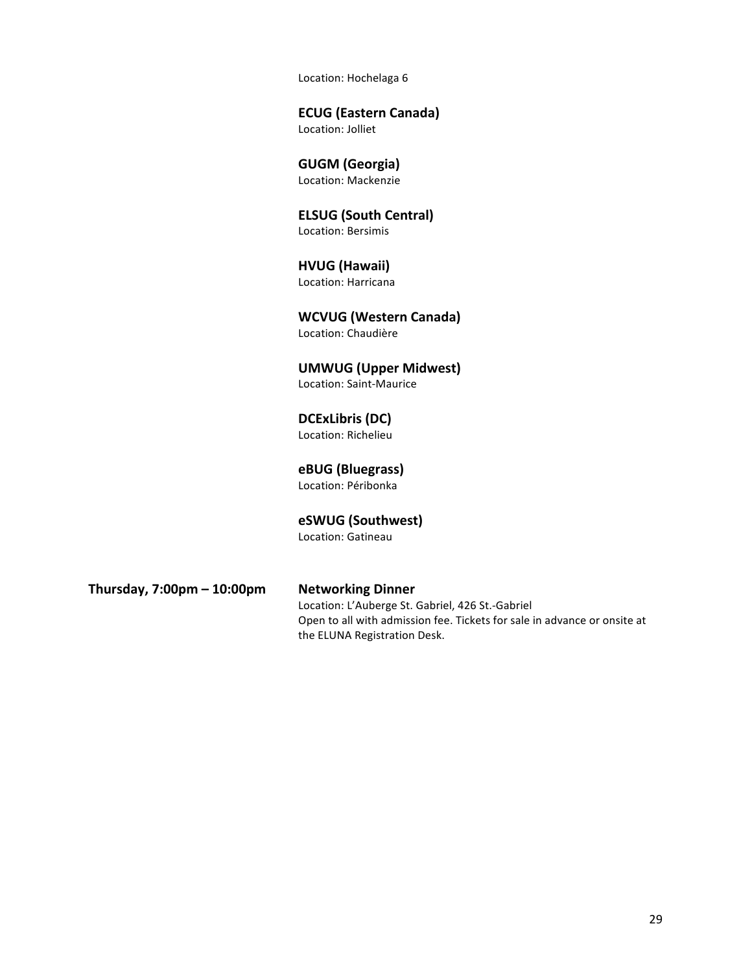Location: Hochelaga 6

# **ECUG (Eastern Canada)**

Location: Jolliet

# **GUGM (Georgia)**

Location: Mackenzie

# **ELSUG (South Central)** Location: Bersimis

# **HVUG (Hawaii)** Location: Harricana

**WCVUG (Western Canada)** Location: Chaudière

**UMWUG (Upper Midwest)** Location: Saint-Maurice

**DCExLibris (DC)** Location: Richelieu

# **eBUG (Bluegrass)** Location: Péribonka

**eSWUG (Southwest)** Location: Gatineau

**Thursday, 7:00pm – 10:00pm Networking Dinner**

# Location: L'Auberge St. Gabriel, 426 St.-Gabriel Open to all with admission fee. Tickets for sale in advance or onsite at the ELUNA Registration Desk.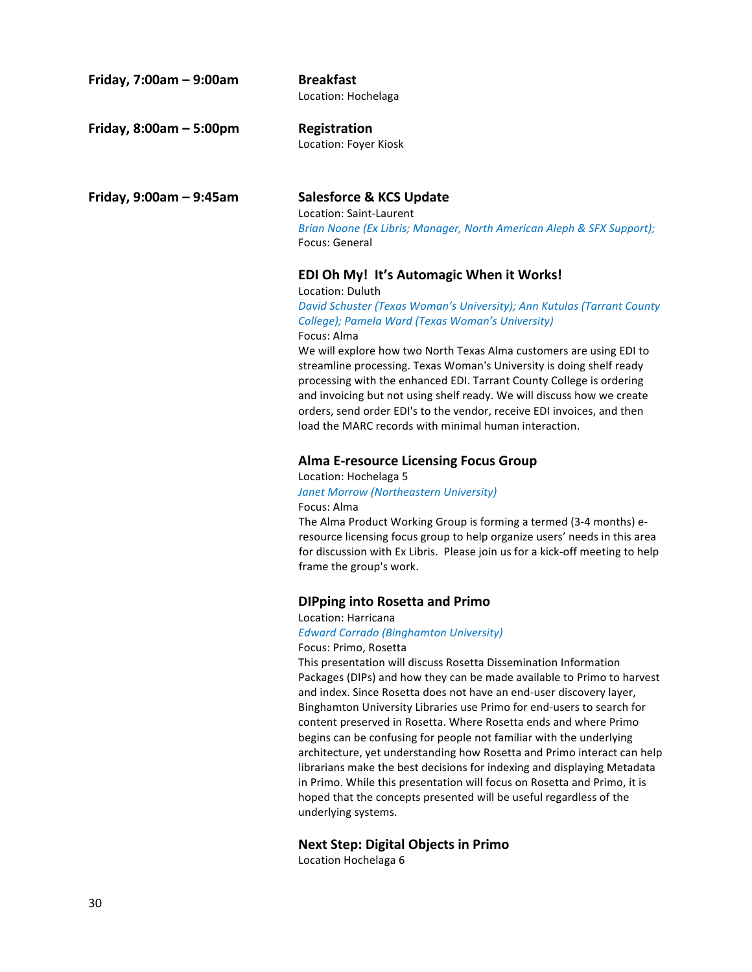| Friday, 7:00am - 9:00am | <b>Breakfast</b><br>Location: Hochelaga                                                                                                                                                                                                                                                                                                                                                                                                                                                                                                                                                                                                       |
|-------------------------|-----------------------------------------------------------------------------------------------------------------------------------------------------------------------------------------------------------------------------------------------------------------------------------------------------------------------------------------------------------------------------------------------------------------------------------------------------------------------------------------------------------------------------------------------------------------------------------------------------------------------------------------------|
| Friday, 8:00am - 5:00pm | Registration<br>Location: Foyer Kiosk                                                                                                                                                                                                                                                                                                                                                                                                                                                                                                                                                                                                         |
| Friday, 9:00am - 9:45am | <b>Salesforce &amp; KCS Update</b><br>Location: Saint-Laurent<br>Brian Noone (Ex Libris; Manager, North American Aleph & SFX Support);<br>Focus: General                                                                                                                                                                                                                                                                                                                                                                                                                                                                                      |
|                         | EDI Oh My! It's Automagic When it Works!<br>Location: Duluth<br>David Schuster (Texas Woman's University); Ann Kutulas (Tarrant County<br>College); Pamela Ward (Texas Woman's University)<br>Focus: Alma<br>We will explore how two North Texas Alma customers are using EDI to<br>streamline processing. Texas Woman's University is doing shelf ready<br>processing with the enhanced EDI. Tarrant County College is ordering<br>and invoicing but not using shelf ready. We will discuss how we create<br>orders, send order EDI's to the vendor, receive EDI invoices, and then<br>load the MARC records with minimal human interaction. |
|                         | <b>Alma E-resource Licensing Focus Group</b><br>Location: Hochelaga 5<br>Janet Morrow (Northeastern University)<br>Focus: Alma<br>The Alma Product Working Group is forming a termed (3-4 months) e-<br>resource licensing focus group to help organize users' needs in this area<br>for discussion with Ex Libris. Please join us for a kick-off meeting to help<br>frame the group's work.                                                                                                                                                                                                                                                  |
|                         | <b>DIPping into Rosetta and Primo</b><br>Location: Harricana<br><b>Edward Corrado (Binghamton University)</b><br>Focus: Primo, Rosetta<br>This presentation will discuss Rosetta Dissemination Information<br>Dackages (DIDs) and how they can be made available to Drimo to baryest                                                                                                                                                                                                                                                                                                                                                          |

Packages (DIPs) and how they can be made available to Primo to harvest and index. Since Rosetta does not have an end-user discovery layer, Binghamton University Libraries use Primo for end-users to search for content preserved in Rosetta. Where Rosetta ends and where Primo begins can be confusing for people not familiar with the underlying architecture, yet understanding how Rosetta and Primo interact can help librarians make the best decisions for indexing and displaying Metadata in Primo. While this presentation will focus on Rosetta and Primo, it is hoped that the concepts presented will be useful regardless of the underlying systems.

# **Next Step: Digital Objects in Primo**

Location Hochelaga 6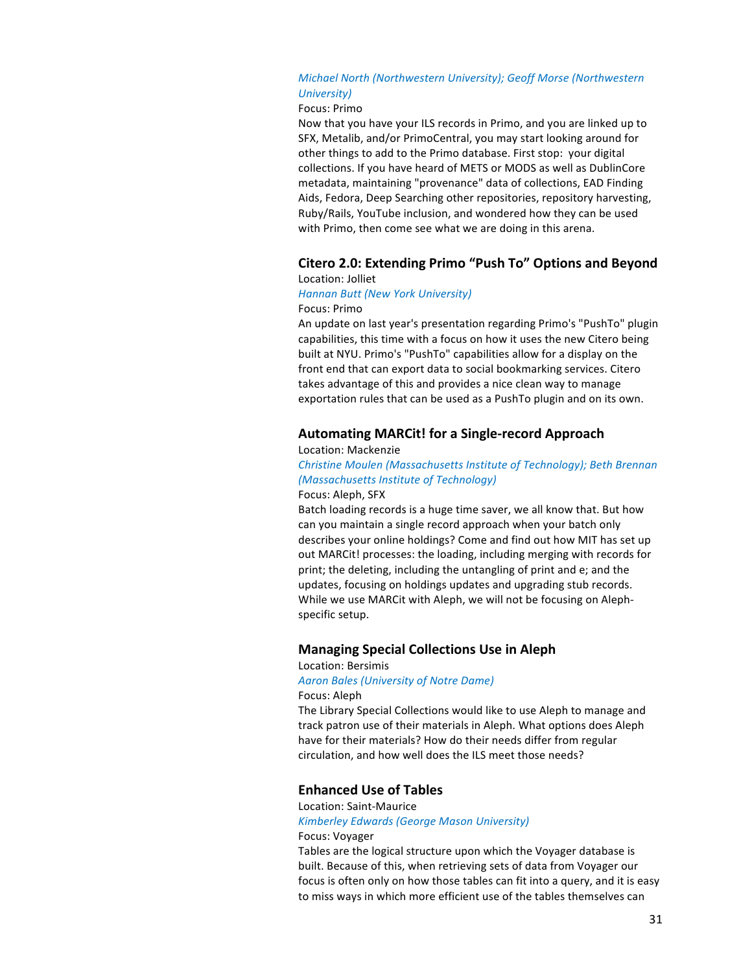# *Michael North (Northwestern University); Geoff Morse (Northwestern*) *University)*

## Focus: Primo

Now that you have your ILS records in Primo, and you are linked up to SFX, Metalib, and/or PrimoCentral, you may start looking around for other things to add to the Primo database. First stop: your digital collections. If you have heard of METS or MODS as well as DublinCore metadata, maintaining "provenance" data of collections, EAD Finding Aids, Fedora, Deep Searching other repositories, repository harvesting, Ruby/Rails, YouTube inclusion, and wondered how they can be used with Primo, then come see what we are doing in this arena.

# **Citero 2.0: Extending Primo "Push To" Options and Beyond** Location: Jolliet

## *Hannan Butt (New York University)* Focus: Primo

An update on last year's presentation regarding Primo's "PushTo" plugin capabilities, this time with a focus on how it uses the new Citero being built at NYU. Primo's "PushTo" capabilities allow for a display on the front end that can export data to social bookmarking services. Citero takes advantage of this and provides a nice clean way to manage

# **Automating MARCit! for a Single-record Approach**

Location: Mackenzie

# **Christine Moulen (Massachusetts Institute of Technology); Beth Brennan** *(Massachusetts Institute of Technology)*

exportation rules that can be used as a PushTo plugin and on its own.

## Focus: Aleph, SFX

Batch loading records is a huge time saver, we all know that. But how can you maintain a single record approach when your batch only describes your online holdings? Come and find out how MIT has set up out MARCit! processes: the loading, including merging with records for print; the deleting, including the untangling of print and e; and the updates, focusing on holdings updates and upgrading stub records. While we use MARCit with Aleph, we will not be focusing on Alephspecific setup.

# **Managing Special Collections Use in Aleph**

# Location: Bersimis

*Aaron Bales (University of Notre Dame)* Focus: Aleph

The Library Special Collections would like to use Aleph to manage and track patron use of their materials in Aleph. What options does Aleph have for their materials? How do their needs differ from regular circulation, and how well does the ILS meet those needs?

## **Enhanced Use of Tables**

## Location: Saint-Maurice

# *Kimberley Edwards (George Mason University)*

# Focus: Voyager

Tables are the logical structure upon which the Voyager database is built. Because of this, when retrieving sets of data from Voyager our focus is often only on how those tables can fit into a query, and it is easy to miss ways in which more efficient use of the tables themselves can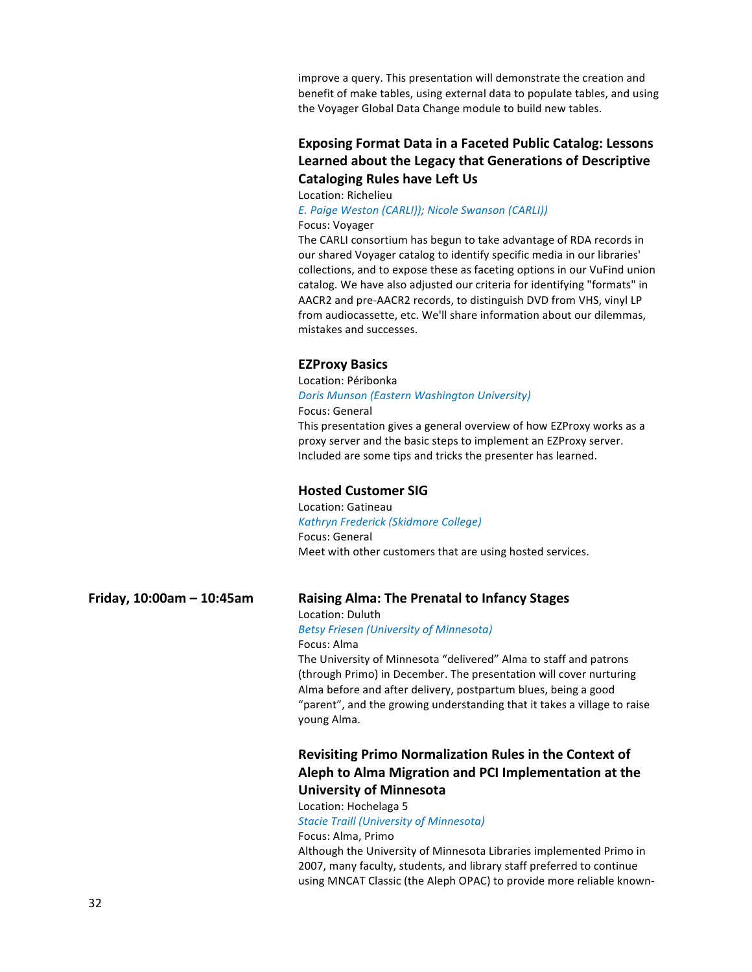improve a query. This presentation will demonstrate the creation and benefit of make tables, using external data to populate tables, and using the Voyager Global Data Change module to build new tables.

# **Exposing Format Data in a Faceted Public Catalog: Lessons** Learned about the Legacy that Generations of Descriptive **Cataloging Rules have Left Us**

Location: Richelieu

*E. Paige Weston (CARLI)); Nicole Swanson (CARLI))* Focus: Voyager

The CARLI consortium has begun to take advantage of RDA records in our shared Voyager catalog to identify specific media in our libraries' collections, and to expose these as faceting options in our VuFind union catalog. We have also adjusted our criteria for identifying "formats" in AACR2 and pre-AACR2 records, to distinguish DVD from VHS, vinyl LP from audiocassette, etc. We'll share information about our dilemmas, mistakes and successes.

# **EZProxy Basics**

Location: Péribonka *Doris Munson (Eastern Washington University)*

Focus: General This presentation gives a general overview of how EZProxy works as a proxy server and the basic steps to implement an EZProxy server. Included are some tips and tricks the presenter has learned.

# **Hosted Customer SIG**

Location: Gatineau *Kathryn Frederick (Skidmore College)* Focus: General Meet with other customers that are using hosted services.

# **Friday, 10:00am – 10:45am Raising Alma: The Prenatal to Infancy Stages**

Location: Duluth *Betsy Friesen (University of Minnesota)* Focus: Alma

The University of Minnesota "delivered" Alma to staff and patrons (through Primo) in December. The presentation will cover nurturing Alma before and after delivery, postpartum blues, being a good "parent", and the growing understanding that it takes a village to raise young Alma.

# **Revisiting Primo Normalization Rules in the Context of** Aleph to Alma Migration and PCI Implementation at the **University of Minnesota**

Location: Hochelaga 5

**Stacie Traill (University of Minnesota)** 

Focus: Alma, Primo Although the University of Minnesota Libraries implemented Primo in 2007, many faculty, students, and library staff preferred to continue using MNCAT Classic (the Aleph OPAC) to provide more reliable known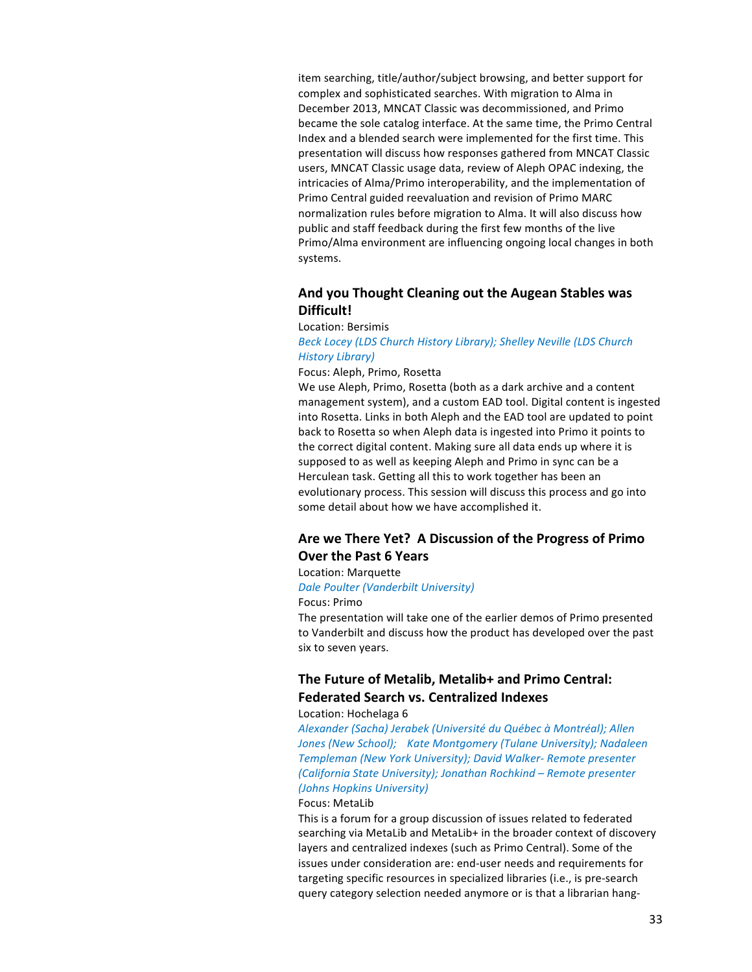item searching, title/author/subject browsing, and better support for complex and sophisticated searches. With migration to Alma in December 2013, MNCAT Classic was decommissioned, and Primo became the sole catalog interface. At the same time, the Primo Central Index and a blended search were implemented for the first time. This presentation will discuss how responses gathered from MNCAT Classic users, MNCAT Classic usage data, review of Aleph OPAC indexing, the intricacies of Alma/Primo interoperability, and the implementation of Primo Central guided reevaluation and revision of Primo MARC normalization rules before migration to Alma. It will also discuss how public and staff feedback during the first few months of the live Primo/Alma environment are influencing ongoing local changes in both systems.

# And you Thought Cleaning out the Augean Stables was **Difficult!**

Location: Bersimis

# Beck Locey (LDS Church History Library); Shelley Neville (LDS Church *History Library)*

Focus: Aleph, Primo, Rosetta

We use Aleph, Primo, Rosetta (both as a dark archive and a content management system), and a custom EAD tool. Digital content is ingested into Rosetta. Links in both Aleph and the EAD tool are updated to point back to Rosetta so when Aleph data is ingested into Primo it points to the correct digital content. Making sure all data ends up where it is supposed to as well as keeping Aleph and Primo in sync can be a Herculean task. Getting all this to work together has been an evolutionary process. This session will discuss this process and go into some detail about how we have accomplished it.

# Are we There Yet? A Discussion of the Progress of Primo **Over the Past 6 Years**

Location: Marquette

## **Dale Poulter (Vanderbilt University)**

### Focus: Primo

The presentation will take one of the earlier demos of Primo presented to Vanderbilt and discuss how the product has developed over the past six to seven years.

# **The Future of Metalib, Metalib+ and Primo Central: Federated Search vs. Centralized Indexes**

Location: Hochelaga 6

*Alexander (Sacha) Jerabek (Université du Québec à Montréal); Allen*  Jones (New School); Kate Montgomery (Tulane University); Nadaleen *Templeman (New York University); David Walker- Remote presenter (California State University); Jonathan Rochkind – Remote presenter (Johns Hopkins University)*

## Focus: MetaLib

This is a forum for a group discussion of issues related to federated searching via MetaLib and MetaLib+ in the broader context of discovery layers and centralized indexes (such as Primo Central). Some of the issues under consideration are: end-user needs and requirements for targeting specific resources in specialized libraries (i.e., is pre-search query category selection needed anymore or is that a librarian hang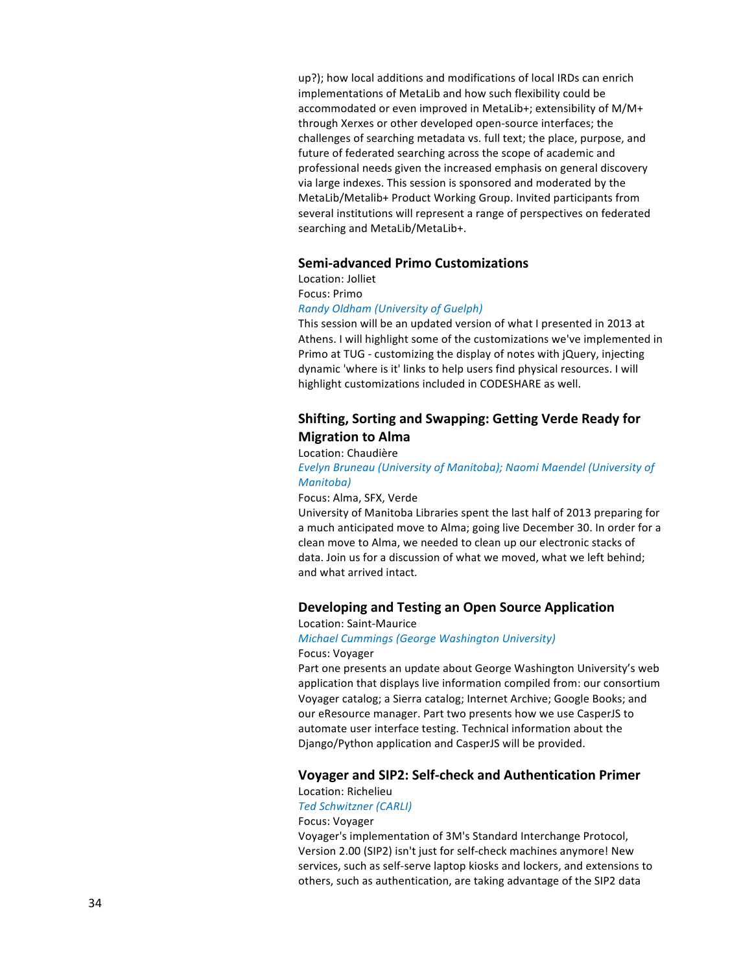up?); how local additions and modifications of local IRDs can enrich implementations of MetaLib and how such flexibility could be accommodated or even improved in MetaLib+; extensibility of M/M+ through Xerxes or other developed open-source interfaces; the challenges of searching metadata vs. full text; the place, purpose, and future of federated searching across the scope of academic and professional needs given the increased emphasis on general discovery via large indexes. This session is sponsored and moderated by the MetaLib/Metalib+ Product Working Group. Invited participants from several institutions will represent a range of perspectives on federated searching and MetaLib/MetaLib+.

## **Semi-advanced Primo Customizations**

Location: Jolliet Focus: Primo *Randy Oldham (University of Guelph)*

This session will be an updated version of what I presented in 2013 at Athens. I will highlight some of the customizations we've implemented in Primo at TUG - customizing the display of notes with jQuery, injecting dynamic 'where is it' links to help users find physical resources. I will highlight customizations included in CODESHARE as well.

# **Shifting, Sorting and Swapping: Getting Verde Ready for Migration to Alma**

## Location: Chaudière

**Evelyn Bruneau (University of Manitoba); Naomi Maendel (University of** *Manitoba)*

## Focus: Alma, SFX, Verde

University of Manitoba Libraries spent the last half of 2013 preparing for a much anticipated move to Alma; going live December 30. In order for a clean move to Alma, we needed to clean up our electronic stacks of data. Join us for a discussion of what we moved, what we left behind; and what arrived intact*.*

# **Developing and Testing an Open Source Application**

# Location: Saint-Maurice *Michael Cummings (George Washington University)*

Focus: Voyager

Part one presents an update about George Washington University's web application that displays live information compiled from: our consortium Voyager catalog; a Sierra catalog; Internet Archive; Google Books; and our eResource manager. Part two presents how we use CasperJS to automate user interface testing. Technical information about the Django/Python application and CasperJS will be provided.

## **Voyager and SIP2: Self-check and Authentication Primer**

# Location: Richelieu

*Ted Schwitzner (CARLI)*

## Focus: Voyager

Voyager's implementation of 3M's Standard Interchange Protocol, Version 2.00 (SIP2) isn't just for self-check machines anymore! New services, such as self-serve laptop kiosks and lockers, and extensions to others, such as authentication, are taking advantage of the SIP2 data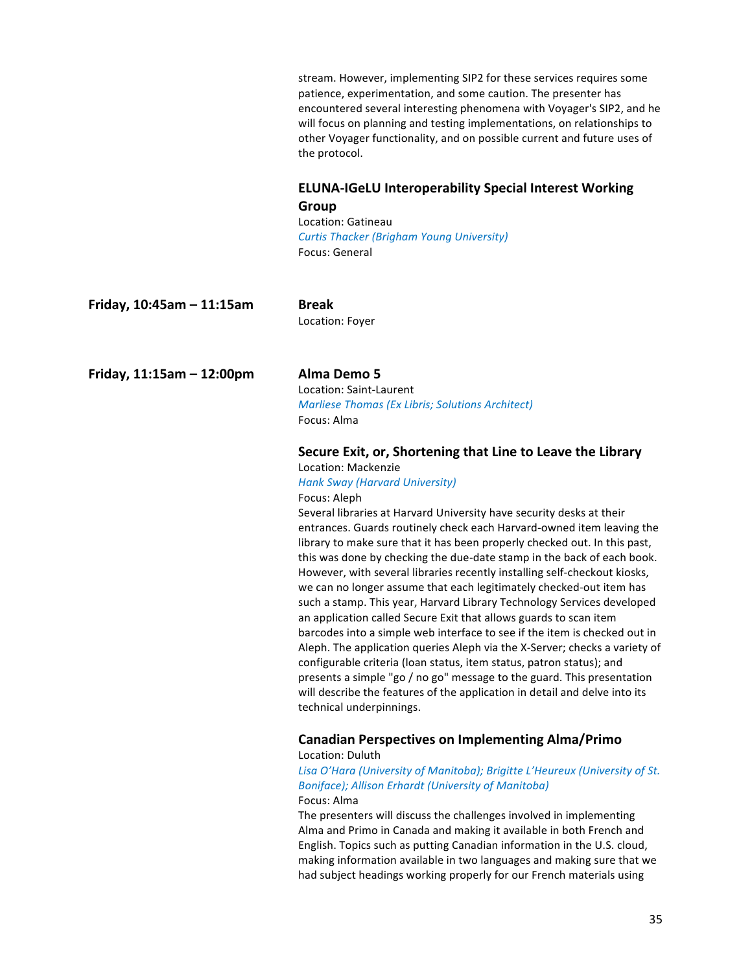stream. However, implementing SIP2 for these services requires some patience, experimentation, and some caution. The presenter has encountered several interesting phenomena with Voyager's SIP2, and he will focus on planning and testing implementations, on relationships to other Voyager functionality, and on possible current and future uses of the protocol.

# **ELUNA-IGeLU Interoperability Special Interest Working Group**

Location: Gatineau *Curtis Thacker (Brigham Young University)* Focus: General

**Friday, 10:45am – 11:15am Break**

Location: Foyer

**Friday, 11:15am – 12:00pm Alma Demo 5**

Location: Saint-Laurent *Marliese Thomas (Ex Libris; Solutions Architect)* Focus: Alma

# **Secure Exit, or, Shortening that Line to Leave the Library**

Location: Mackenzie *Hank Sway (Harvard University)* Focus: Aleph

Several libraries at Harvard University have security desks at their entrances. Guards routinely check each Harvard-owned item leaving the library to make sure that it has been properly checked out. In this past, this was done by checking the due-date stamp in the back of each book. However, with several libraries recently installing self-checkout kiosks, we can no longer assume that each legitimately checked-out item has such a stamp. This year, Harvard Library Technology Services developed an application called Secure Exit that allows guards to scan item barcodes into a simple web interface to see if the item is checked out in Aleph. The application queries Aleph via the X-Server; checks a variety of configurable criteria (loan status, item status, patron status); and presents a simple "go / no go" message to the guard. This presentation will describe the features of the application in detail and delve into its technical underpinnings.

# **Canadian Perspectives on Implementing Alma/Primo**

Location: Duluth

Lisa O'Hara (University of Manitoba); Brigitte L'Heureux (University of St. Boniface); Allison Erhardt (University of Manitoba) Focus: Alma

The presenters will discuss the challenges involved in implementing Alma and Primo in Canada and making it available in both French and English. Topics such as putting Canadian information in the U.S. cloud, making information available in two languages and making sure that we had subject headings working properly for our French materials using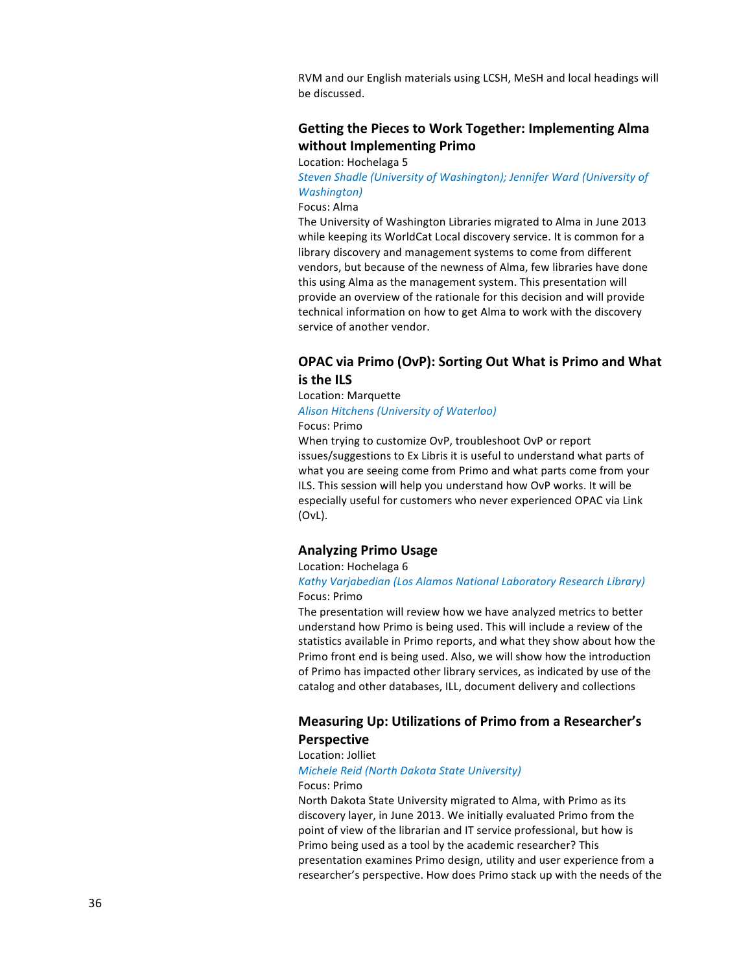RVM and our English materials using LCSH, MeSH and local headings will be discussed.

# **Getting the Pieces to Work Together: Implementing Alma without Implementing Primo**

Location: Hochelaga 5

**Steven Shadle (University of Washington); Jennifer Ward (University of** *Washington)*

## Focus: Alma

The University of Washington Libraries migrated to Alma in June 2013 while keeping its WorldCat Local discovery service. It is common for a library discovery and management systems to come from different vendors, but because of the newness of Alma, few libraries have done this using Alma as the management system. This presentation will provide an overview of the rationale for this decision and will provide technical information on how to get Alma to work with the discovery service of another vendor.

# **OPAC** via Primo (OvP): Sorting Out What is Primo and What **is the ILS**

## Location: Marquette

## *Alison Hitchens (University of Waterloo)*

Focus: Primo

When trying to customize OvP, troubleshoot OvP or report issues/suggestions to Ex Libris it is useful to understand what parts of what you are seeing come from Primo and what parts come from your ILS. This session will help you understand how OvP works. It will be especially useful for customers who never experienced OPAC via Link (OvL).

# **Analyzing Primo Usage**

## Location: Hochelaga 6

## **Kathy Varjabedian (Los Alamos National Laboratory Research Library)** Focus: Primo

The presentation will review how we have analyzed metrics to better understand how Primo is being used. This will include a review of the statistics available in Primo reports, and what they show about how the Primo front end is being used. Also, we will show how the introduction of Primo has impacted other library services, as indicated by use of the catalog and other databases, ILL, document delivery and collections

# **Measuring Up: Utilizations of Primo from a Researcher's Perspective**

### Location: Jolliet

## *Michele Reid (North Dakota State University)*

### Focus: Primo

North Dakota State University migrated to Alma, with Primo as its discovery layer, in June 2013. We initially evaluated Primo from the point of view of the librarian and IT service professional, but how is Primo being used as a tool by the academic researcher? This presentation examines Primo design, utility and user experience from a researcher's perspective. How does Primo stack up with the needs of the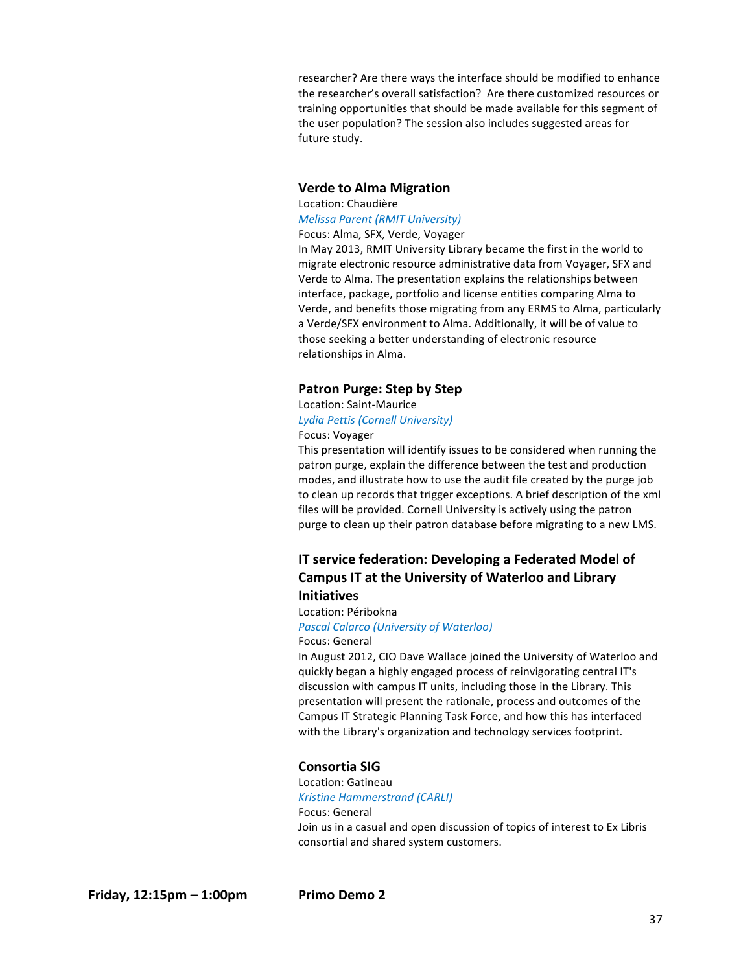researcher? Are there ways the interface should be modified to enhance the researcher's overall satisfaction? Are there customized resources or training opportunities that should be made available for this segment of the user population? The session also includes suggested areas for future study.

## **Verde to Alma Migration**

Location: Chaudière *Melissa Parent (RMIT University)* Focus: Alma, SFX, Verde, Voyager

In May 2013, RMIT University Library became the first in the world to migrate electronic resource administrative data from Voyager, SFX and Verde to Alma. The presentation explains the relationships between interface, package, portfolio and license entities comparing Alma to Verde, and benefits those migrating from any ERMS to Alma, particularly a Verde/SFX environment to Alma. Additionally, it will be of value to those seeking a better understanding of electronic resource relationships in Alma.

## **Patron Purge: Step by Step**

Location: Saint-Maurice *Lydia Pettis (Cornell University)*

# Focus: Voyager

This presentation will identify issues to be considered when running the patron purge, explain the difference between the test and production modes, and illustrate how to use the audit file created by the purge job to clean up records that trigger exceptions. A brief description of the xml files will be provided. Cornell University is actively using the patron purge to clean up their patron database before migrating to a new LMS.

# **IT service federation: Developing a Federated Model of Campus IT at the University of Waterloo and Library Initiatives**

Location: Péribokna **Pascal Calarco (University of Waterloo)** Focus: General

In August 2012, CIO Dave Wallace joined the University of Waterloo and quickly began a highly engaged process of reinvigorating central IT's discussion with campus IT units, including those in the Library. This presentation will present the rationale, process and outcomes of the Campus IT Strategic Planning Task Force, and how this has interfaced with the Library's organization and technology services footprint.

# **Consortia SIG**

Location: Gatineau *Kristine Hammerstrand (CARLI)* Focus: General Join us in a casual and open discussion of topics of interest to Ex Libris consortial and shared system customers.

**Friday, 12:15pm – 1:00pm Primo Demo 2**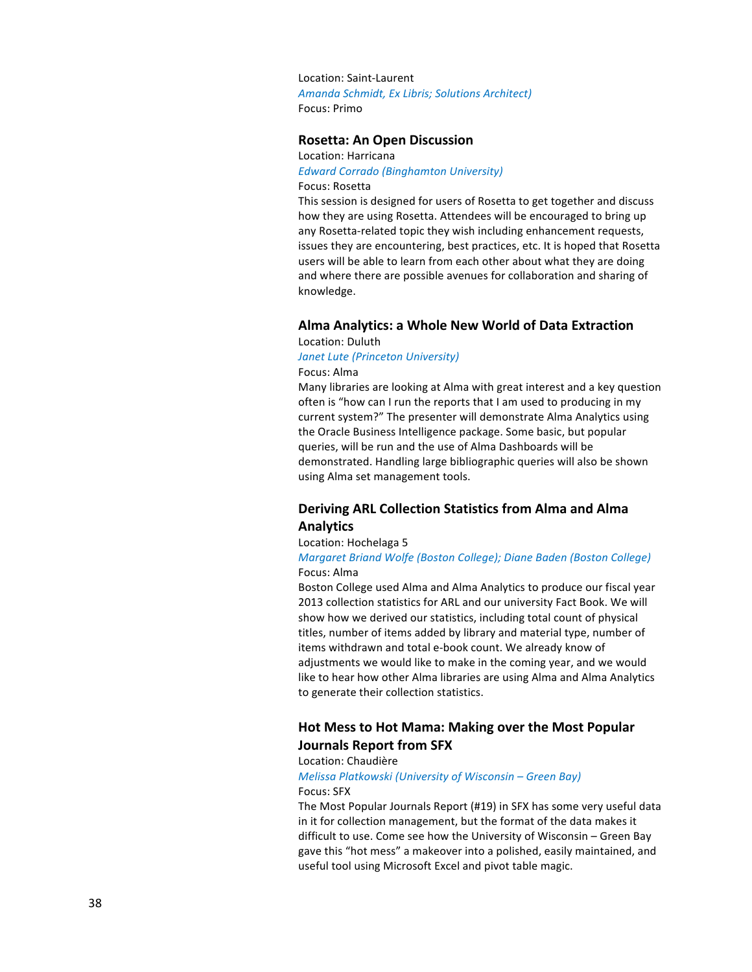Location: Saint-Laurent *Amanda Schmidt, Ex Libris; Solutions Architect)* Focus: Primo

# **Rosetta: An Open Discussion**

Location: Harricana

*Edward Corrado (Binghamton University)* Focus: Rosetta

This session is designed for users of Rosetta to get together and discuss how they are using Rosetta. Attendees will be encouraged to bring up any Rosetta-related topic they wish including enhancement requests, issues they are encountering, best practices, etc. It is hoped that Rosetta users will be able to learn from each other about what they are doing and where there are possible avenues for collaboration and sharing of knowledge. 

# **Alma Analytics: a Whole New World of Data Extraction**

## Location: Duluth **Janet Lute (Princeton University)**

Focus: Alma

Many libraries are looking at Alma with great interest and a key question often is "how can I run the reports that I am used to producing in my current system?" The presenter will demonstrate Alma Analytics using the Oracle Business Intelligence package. Some basic, but popular queries, will be run and the use of Alma Dashboards will be demonstrated. Handling large bibliographic queries will also be shown using Alma set management tools.

# **Deriving ARL Collection Statistics from Alma and Alma Analytics**

## Location: Hochelaga 5

## *Margaret Briand Wolfe (Boston College); Diane Baden (Boston College)* Focus: Alma

Boston College used Alma and Alma Analytics to produce our fiscal year 2013 collection statistics for ARL and our university Fact Book. We will show how we derived our statistics, including total count of physical titles, number of items added by library and material type, number of items withdrawn and total e-book count. We already know of adjustments we would like to make in the coming year, and we would like to hear how other Alma libraries are using Alma and Alma Analytics to generate their collection statistics.

# **Hot Mess to Hot Mama: Making over the Most Popular Journals Report from SFX**

## Location: Chaudière

## *Melissa Platkowski (University of Wisconsin – Green Bay)* Focus: SFX

The Most Popular Journals Report (#19) in SFX has some very useful data in it for collection management, but the format of the data makes it difficult to use. Come see how the University of Wisconsin  $-$  Green Bay gave this "hot mess" a makeover into a polished, easily maintained, and useful tool using Microsoft Excel and pivot table magic.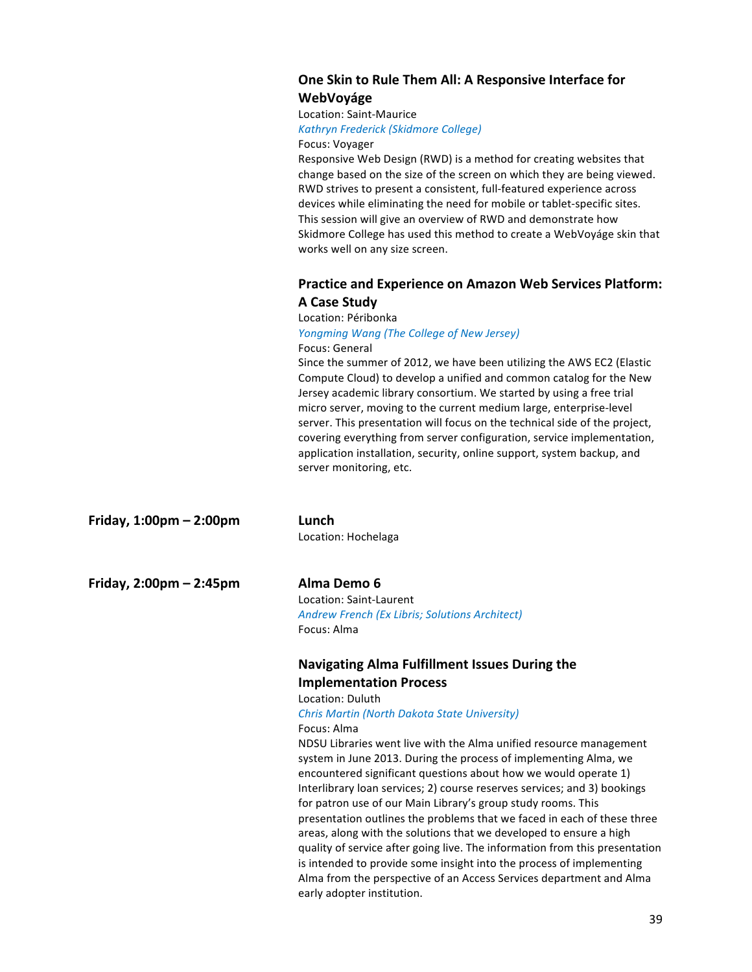# **One Skin to Rule Them All: A Responsive Interface for WebVoyáge**

# Location: Saint-Maurice

## *Kathryn Frederick (Skidmore College)*

Focus: Voyager

Responsive Web Design (RWD) is a method for creating websites that change based on the size of the screen on which they are being viewed. RWD strives to present a consistent, full-featured experience across devices while eliminating the need for mobile or tablet-specific sites. This session will give an overview of RWD and demonstrate how Skidmore College has used this method to create a WebVoyáge skin that works well on any size screen.

# **Practice and Experience on Amazon Web Services Platform: A Case Study**

## Location: Péribonka

*Yongming Wang (The College of New Jersey)* Focus: General

Since the summer of 2012, we have been utilizing the AWS EC2 (Elastic Compute Cloud) to develop a unified and common catalog for the New Jersey academic library consortium. We started by using a free trial micro server, moving to the current medium large, enterprise-level server. This presentation will focus on the technical side of the project, covering everything from server configuration, service implementation, application installation, security, online support, system backup, and server monitoring, etc.

| Friday, 1:00pm - 2:00pm | Lunch                                                                       |
|-------------------------|-----------------------------------------------------------------------------|
|                         | Location: Hochelaga                                                         |
| Friday, 2:00pm - 2:45pm | Alma Demo 6                                                                 |
|                         | Location: Saint-Laurent                                                     |
|                         | Andrew French (Ex Libris; Solutions Architect)                              |
|                         | Focus: Alma                                                                 |
|                         | <b>Navigating Alma Fulfillment Issues During the</b>                        |
|                         | <b>Implementation Process</b>                                               |
|                         | Location: Duluth                                                            |
|                         | Chris Martin (North Dakota State University)                                |
|                         | Focus: Alma                                                                 |
|                         | NDSU Libraries went live with the Alma unified resource management          |
|                         | system in June 2013. During the process of implementing Alma, we            |
|                         | encountered significant questions about how we would operate 1)             |
|                         | Interlibrary loan services; 2) course reserves services; and 3) bookings    |
|                         | for patron use of our Main Library's group study rooms. This                |
|                         | presentation outlines the problems that we faced in each of these three     |
|                         | areas, along with the solutions that we developed to ensure a high          |
|                         | quality of service after going live. The information from this presentation |
|                         | is intended to provide some insight into the process of implementing        |
|                         | Alma from the perspective of an Access Services department and Alma         |

early adopter institution.